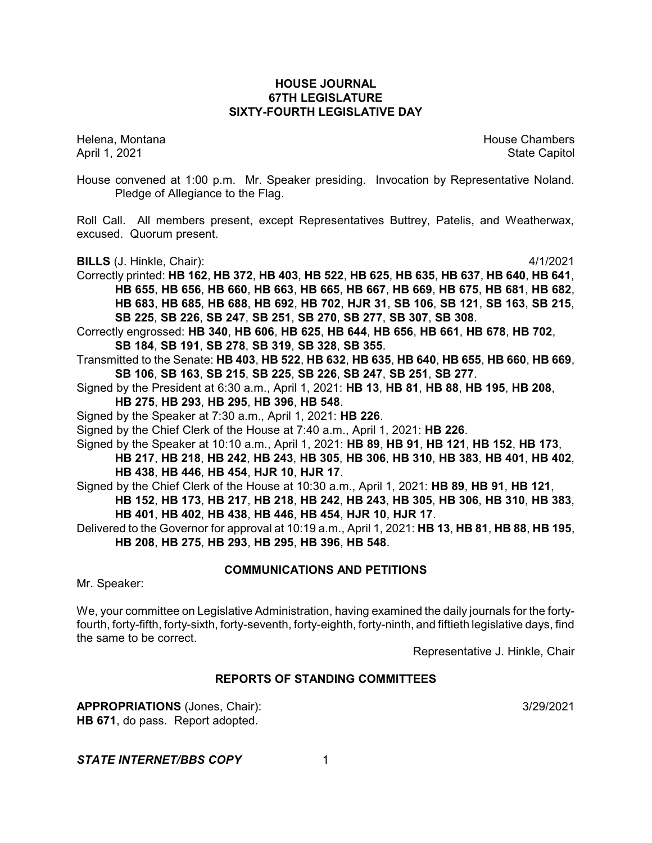# **HOUSE JOURNAL 67TH LEGISLATURE SIXTY-FOURTH LEGISLATIVE DAY**

Helena, Montana House Chambers Chambers Chambers and House Chambers Chambers Chambers Chambers and House Chambers and House Chambers and House Chambers and House Chambers and House Chambers and House Chambers and House Cha April 1, 2021 **State Capitol** 

House convened at 1:00 p.m. Mr. Speaker presiding. Invocation by Representative Noland. Pledge of Allegiance to the Flag.

Roll Call. All members present, except Representatives Buttrey, Patelis, and Weatherwax, excused. Quorum present.

**BILLS** (J. Hinkle, Chair): 4/1/2021

- Correctly printed: **HB 162**, **HB 372**, **HB 403**, **HB 522**, **HB 625**, **HB 635**, **HB 637**, **HB 640**, **HB 641**, **HB 655**, **HB 656**, **HB 660**, **HB 663**, **HB 665**, **HB 667**, **HB 669**, **HB 675**, **HB 681**, **HB 682**, **HB 683**, **HB 685**, **HB 688**, **HB 692**, **HB 702**, **HJR 31**, **SB 106**, **SB 121**, **SB 163**, **SB 215**, **SB 225**, **SB 226**, **SB 247**, **SB 251**, **SB 270**, **SB 277**, **SB 307**, **SB 308**.
- Correctly engrossed: **HB 340**, **HB 606**, **HB 625**, **HB 644**, **HB 656**, **HB 661**, **HB 678**, **HB 702**, **SB 184**, **SB 191**, **SB 278**, **SB 319**, **SB 328**, **SB 355**.
- Transmitted to the Senate: **HB 403**, **HB 522**, **HB 632**, **HB 635**, **HB 640**, **HB 655**, **HB 660**, **HB 669**, **SB 106**, **SB 163**, **SB 215**, **SB 225**, **SB 226**, **SB 247**, **SB 251**, **SB 277**.
- Signed by the President at 6:30 a.m., April 1, 2021: **HB 13**, **HB 81**, **HB 88**, **HB 195**, **HB 208**,
	- **HB 275**, **HB 293**, **HB 295**, **HB 396**, **HB 548**.
- Signed by the Speaker at 7:30 a.m., April 1, 2021: **HB 226**.
- Signed by the Chief Clerk of the House at 7:40 a.m., April 1, 2021: **HB 226**.

Signed by the Speaker at 10:10 a.m., April 1, 2021: **HB 89**, **HB 91**, **HB 121**, **HB 152**, **HB 173**, **HB 217**, **HB 218**, **HB 242**, **HB 243**, **HB 305**, **HB 306**, **HB 310**, **HB 383**, **HB 401**, **HB 402**, **HB 438**, **HB 446**, **HB 454**, **HJR 10**, **HJR 17**.

- Signed by the Chief Clerk of the House at 10:30 a.m., April 1, 2021: **HB 89**, **HB 91**, **HB 121**, **HB 152**, **HB 173**, **HB 217**, **HB 218**, **HB 242**, **HB 243**, **HB 305**, **HB 306**, **HB 310**, **HB 383**, **HB 401**, **HB 402**, **HB 438**, **HB 446**, **HB 454**, **HJR 10**, **HJR 17**.
- Delivered to the Governor for approval at 10:19 a.m., April 1, 2021: **HB 13**, **HB 81**, **HB 88**, **HB 195**, **HB 208**, **HB 275**, **HB 293**, **HB 295**, **HB 396**, **HB 548**.

# **COMMUNICATIONS AND PETITIONS**

Mr. Speaker:

We, your committee on Legislative Administration, having examined the daily journals for the fortyfourth, forty-fifth, forty-sixth, forty-seventh, forty-eighth, forty-ninth, and fiftieth legislative days, find the same to be correct.

Representative J. Hinkle, Chair

# **REPORTS OF STANDING COMMITTEES**

**APPROPRIATIONS** (Jones, Chair): 3/29/2021 **HB 671**, do pass. Report adopted.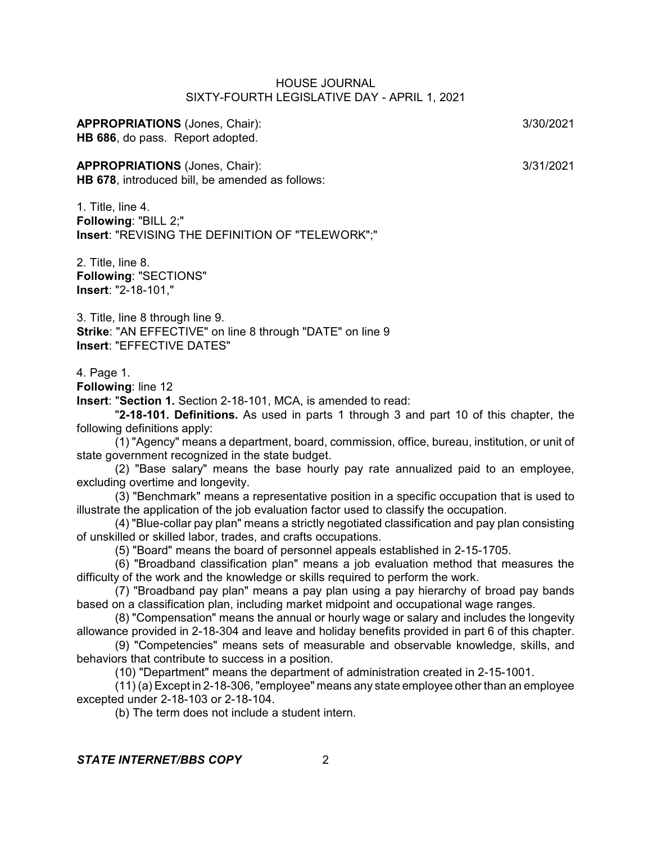#### **APPROPRIATIONS** (Jones, Chair): 3/30/2021 **HB 686**, do pass. Report adopted.

# **APPROPRIATIONS** (Jones, Chair): 3/31/2021

**HB 678**, introduced bill, be amended as follows:

1. Title, line 4. **Following**: "BILL 2;" **Insert**: "REVISING THE DEFINITION OF "TELEWORK";"

2. Title, line 8. **Following**: "SECTIONS" **Insert**: "2-18-101,"

3. Title, line 8 through line 9. **Strike**: "AN EFFECTIVE" on line 8 through "DATE" on line 9 **Insert**: "EFFECTIVE DATES"

#### 4. Page 1.

**Following**: line 12

**Insert**: "**Section 1.** Section 2-18-101, MCA, is amended to read:

"**2-18-101. Definitions.** As used in parts 1 through 3 and part 10 of this chapter, the following definitions apply:

(1) "Agency" means a department, board, commission, office, bureau, institution, or unit of state government recognized in the state budget.

(2) "Base salary" means the base hourly pay rate annualized paid to an employee, excluding overtime and longevity.

(3) "Benchmark" means a representative position in a specific occupation that is used to illustrate the application of the job evaluation factor used to classify the occupation.

(4) "Blue-collar pay plan" means a strictly negotiated classification and pay plan consisting of unskilled or skilled labor, trades, and crafts occupations.

(5) "Board" means the board of personnel appeals established in 2-15-1705.

(6) "Broadband classification plan" means a job evaluation method that measures the difficulty of the work and the knowledge or skills required to perform the work.

(7) "Broadband pay plan" means a pay plan using a pay hierarchy of broad pay bands based on a classification plan, including market midpoint and occupational wage ranges.

(8) "Compensation" means the annual or hourly wage or salary and includes the longevity allowance provided in 2-18-304 and leave and holiday benefits provided in part 6 of this chapter.

(9) "Competencies" means sets of measurable and observable knowledge, skills, and behaviors that contribute to success in a position.

(10) "Department" means the department of administration created in 2-15-1001.

(11) (a) Except in 2-18-306, "employee" means any state employee other than an employee excepted under 2-18-103 or 2-18-104.

(b) The term does not include a student intern.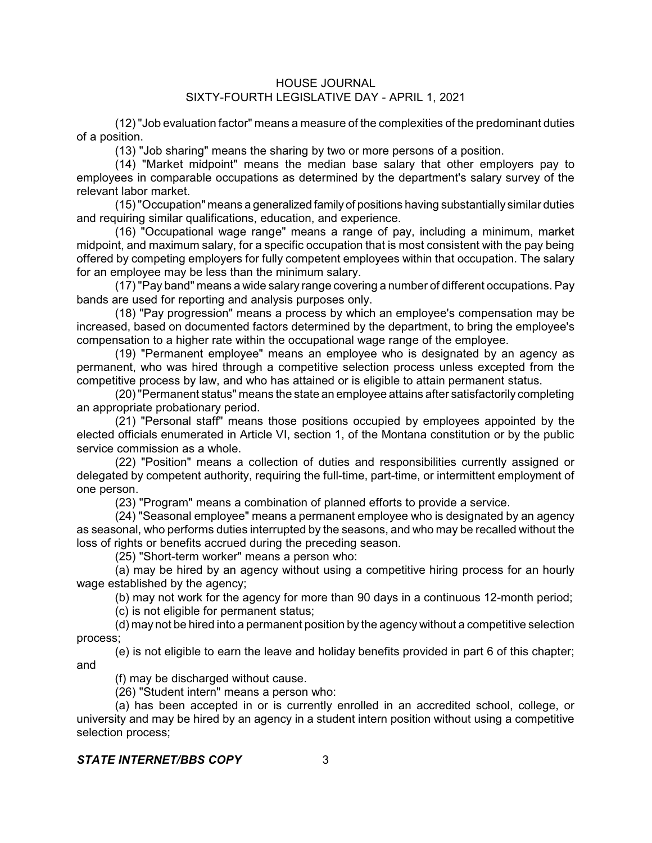(12) "Job evaluation factor" means a measure of the complexities of the predominant duties of a position.

(13) "Job sharing" means the sharing by two or more persons of a position.

(14) "Market midpoint" means the median base salary that other employers pay to employees in comparable occupations as determined by the department's salary survey of the relevant labor market.

(15)"Occupation" means a generalized family of positions having substantially similar duties and requiring similar qualifications, education, and experience.

(16) "Occupational wage range" means a range of pay, including a minimum, market midpoint, and maximum salary, for a specific occupation that is most consistent with the pay being offered by competing employers for fully competent employees within that occupation. The salary for an employee may be less than the minimum salary.

(17) "Pay band" means a wide salary range covering a number of different occupations. Pay bands are used for reporting and analysis purposes only.

(18) "Pay progression" means a process by which an employee's compensation may be increased, based on documented factors determined by the department, to bring the employee's compensation to a higher rate within the occupational wage range of the employee.

(19) "Permanent employee" means an employee who is designated by an agency as permanent, who was hired through a competitive selection process unless excepted from the competitive process by law, and who has attained or is eligible to attain permanent status.

(20)"Permanent status" means the state an employee attains after satisfactorily completing an appropriate probationary period.

(21) "Personal staff" means those positions occupied by employees appointed by the elected officials enumerated in Article VI, section 1, of the Montana constitution or by the public service commission as a whole.

(22) "Position" means a collection of duties and responsibilities currently assigned or delegated by competent authority, requiring the full-time, part-time, or intermittent employment of one person.

(23) "Program" means a combination of planned efforts to provide a service.

(24) "Seasonal employee" means a permanent employee who is designated by an agency as seasonal, who performs duties interrupted by the seasons, and who may be recalled without the loss of rights or benefits accrued during the preceding season.

(25) "Short-term worker" means a person who:

(a) may be hired by an agency without using a competitive hiring process for an hourly wage established by the agency;

(b) may not work for the agency for more than 90 days in a continuous 12-month period; (c) is not eligible for permanent status;

(d) may not be hired into a permanent position by the agency without a competitive selection process;

(e) is not eligible to earn the leave and holiday benefits provided in part 6 of this chapter; and

(f) may be discharged without cause.

(26) "Student intern" means a person who:

(a) has been accepted in or is currently enrolled in an accredited school, college, or university and may be hired by an agency in a student intern position without using a competitive selection process;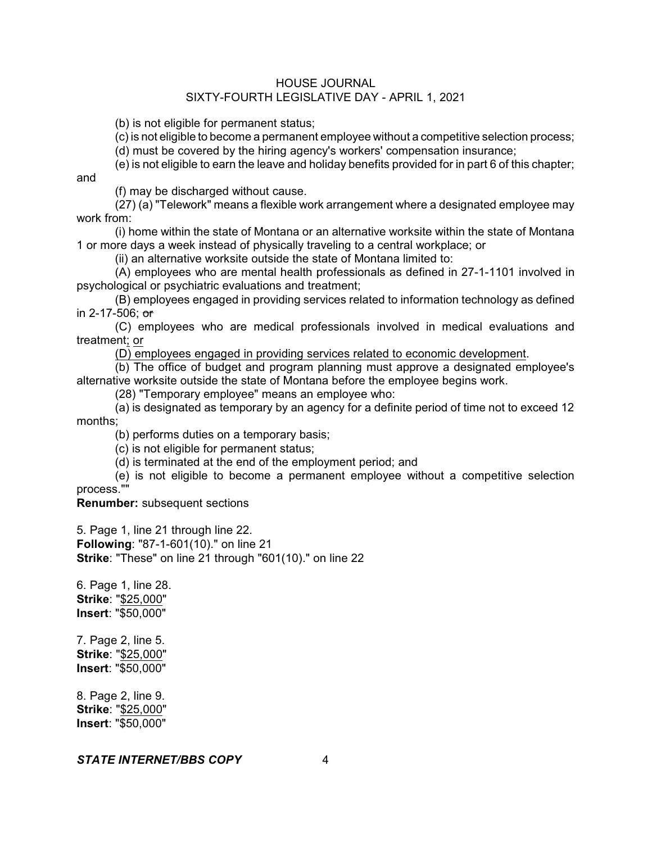(b) is not eligible for permanent status;

(c) is not eligible to become a permanent employee without a competitive selection process;

(d) must be covered by the hiring agency's workers' compensation insurance;

(e) is not eligible to earn the leave and holiday benefits provided for in part 6 of this chapter; and

(f) may be discharged without cause.

(27) (a) "Telework" means a flexible work arrangement where a designated employee may work from:

(i) home within the state of Montana or an alternative worksite within the state of Montana 1 or more days a week instead of physically traveling to a central workplace; or

(ii) an alternative worksite outside the state of Montana limited to:

(A) employees who are mental health professionals as defined in 27-1-1101 involved in psychological or psychiatric evaluations and treatment;

(B) employees engaged in providing services related to information technology as defined in 2-17-506; or

(C) employees who are medical professionals involved in medical evaluations and treatment; or

(D) employees engaged in providing services related to economic development.

(b) The office of budget and program planning must approve a designated employee's alternative worksite outside the state of Montana before the employee begins work.

(28) "Temporary employee" means an employee who:

(a) is designated as temporary by an agency for a definite period of time not to exceed 12 months;

(b) performs duties on a temporary basis;

(c) is not eligible for permanent status;

(d) is terminated at the end of the employment period; and

(e) is not eligible to become a permanent employee without a competitive selection process.""

**Renumber:** subsequent sections

5. Page 1, line 21 through line 22. **Following**: "87-1-601(10)." on line 21 **Strike**: "These" on line 21 through "601(10)." on line 22

6. Page 1, line 28. **Strike**: "\$25,000" **Insert**: "\$50,000"

7. Page 2, line 5. **Strike**: "\$25,000" **Insert**: "\$50,000"

8. Page 2, line 9. **Strike**: "\$25,000" **Insert**: "\$50,000"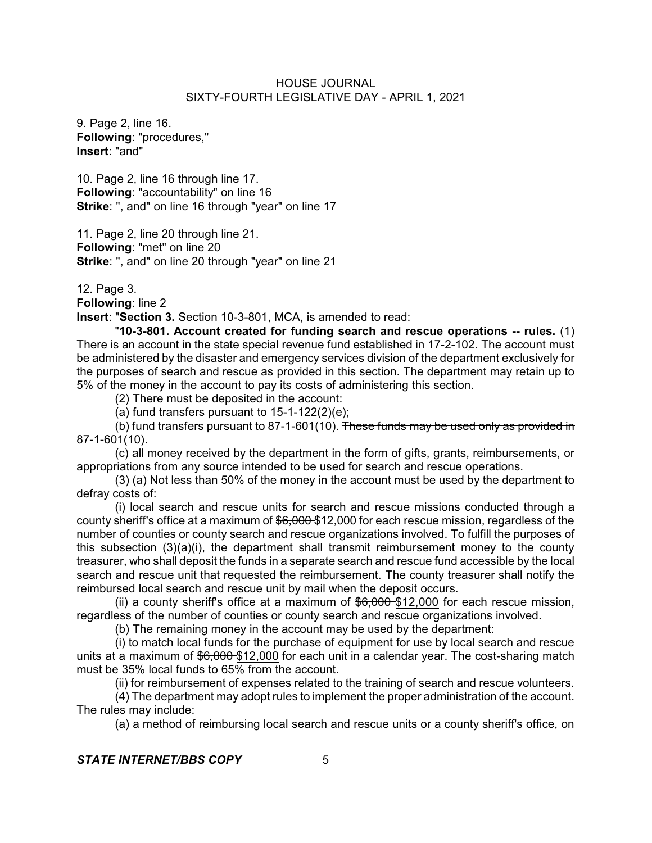9. Page 2, line 16. **Following**: "procedures," **Insert**: "and"

10. Page 2, line 16 through line 17. **Following**: "accountability" on line 16 **Strike**: ", and" on line 16 through "year" on line 17

11. Page 2, line 20 through line 21. **Following**: "met" on line 20 **Strike**: ", and" on line 20 through "year" on line 21

12. Page 3.

**Following**: line 2

**Insert**: "**Section 3.** Section 10-3-801, MCA, is amended to read:

"**10-3-801. Account created for funding search and rescue operations -- rules.** (1) There is an account in the state special revenue fund established in 17-2-102. The account must be administered by the disaster and emergency services division of the department exclusively for the purposes of search and rescue as provided in this section. The department may retain up to 5% of the money in the account to pay its costs of administering this section.

(2) There must be deposited in the account:

(a) fund transfers pursuant to  $15-1-122(2)(e)$ ;

(b) fund transfers pursuant to 87-1-601(10). These funds may be used only as provided in 87-1-601(10).

(c) all money received by the department in the form of gifts, grants, reimbursements, or appropriations from any source intended to be used for search and rescue operations.

(3) (a) Not less than 50% of the money in the account must be used by the department to defray costs of:

(i) local search and rescue units for search and rescue missions conducted through a county sheriff's office at a maximum of  $$6,000$  \$12,000 for each rescue mission, regardless of the number of counties or county search and rescue organizations involved. To fulfill the purposes of this subsection  $(3)(a)(i)$ , the department shall transmit reimbursement money to the county treasurer, who shall deposit the funds in a separate search and rescue fund accessible by the local search and rescue unit that requested the reimbursement. The county treasurer shall notify the reimbursed local search and rescue unit by mail when the deposit occurs.

(ii) a county sheriff's office at a maximum of  $$6,000$  \$12,000 for each rescue mission, regardless of the number of counties or county search and rescue organizations involved.

(b) The remaining money in the account may be used by the department:

(i) to match local funds for the purchase of equipment for use by local search and rescue units at a maximum of \$6,000 \$12,000 for each unit in a calendar year. The cost-sharing match must be 35% local funds to 65% from the account.

(ii) for reimbursement of expenses related to the training of search and rescue volunteers.

(4) The department may adopt rules to implement the proper administration of the account. The rules may include:

(a) a method of reimbursing local search and rescue units or a county sheriff's office, on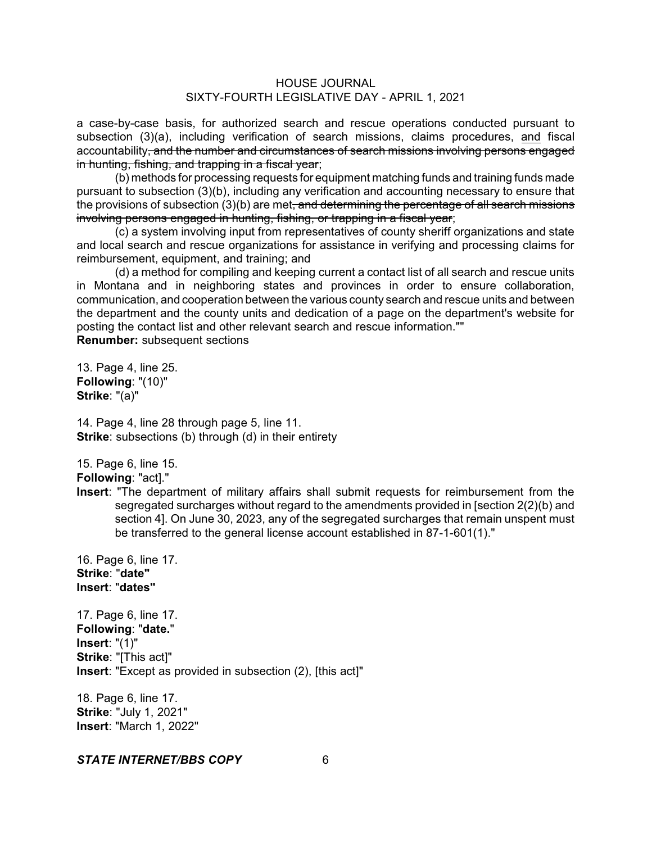a case-by-case basis, for authorized search and rescue operations conducted pursuant to subsection (3)(a), including verification of search missions, claims procedures, and fiscal accountability, and the number and circumstances of search missions involving persons engaged in hunting, fishing, and trapping in a fiscal year;

(b) methods for processing requests for equipment matching funds and training funds made pursuant to subsection (3)(b), including any verification and accounting necessary to ensure that the provisions of subsection (3)(b) are met<del>, and determining the percentage of all search missions</del> involving persons engaged in hunting, fishing, or trapping in a fiscal year;

(c) a system involving input from representatives of county sheriff organizations and state and local search and rescue organizations for assistance in verifying and processing claims for reimbursement, equipment, and training; and

(d) a method for compiling and keeping current a contact list of all search and rescue units in Montana and in neighboring states and provinces in order to ensure collaboration, communication, and cooperation between the various county search and rescue units and between the department and the county units and dedication of a page on the department's website for posting the contact list and other relevant search and rescue information.""

**Renumber:** subsequent sections

13. Page 4, line 25. **Following**: "(10)" **Strike**: "(a)"

14. Page 4, line 28 through page 5, line 11. **Strike:** subsections (b) through (d) in their entirety

15. Page 6, line 15.

**Following**: "act]."

**Insert**: "The department of military affairs shall submit requests for reimbursement from the segregated surcharges without regard to the amendments provided in [section 2(2)(b) and section 4]. On June 30, 2023, any of the segregated surcharges that remain unspent must be transferred to the general license account established in 87-1-601(1)."

16. Page 6, line 17. **Strike**: "**date" Insert**: "**dates"**

17. Page 6, line 17. **Following**: "**date.**" **Insert**: "(1)" **Strike**: "[This act]" **Insert**: "Except as provided in subsection (2), [this act]"

18. Page 6, line 17. **Strike**: "July 1, 2021" **Insert**: "March 1, 2022"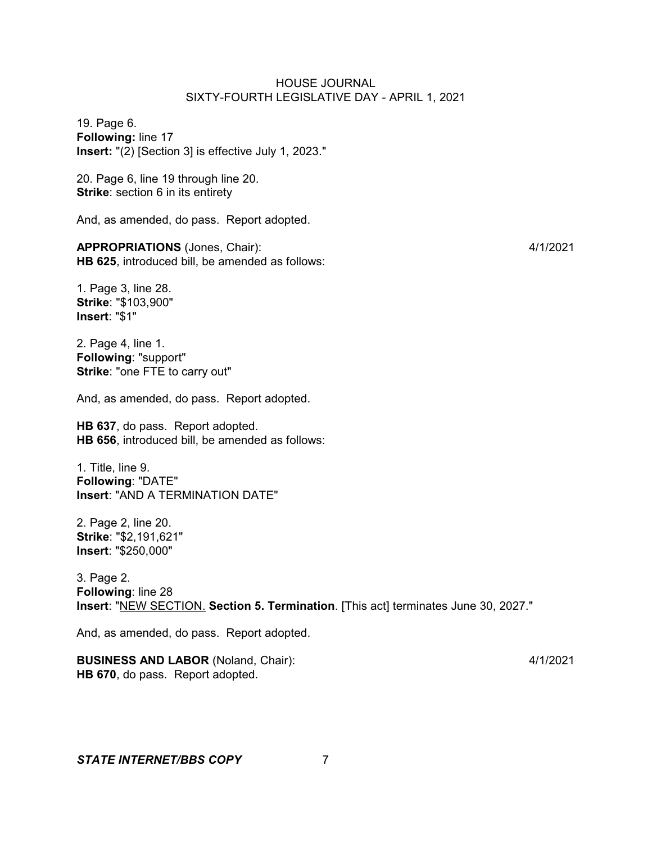19. Page 6. **Following:** line 17 **Insert:** "(2) [Section 3] is effective July 1, 2023."

20. Page 6, line 19 through line 20. **Strike:** section 6 in its entirety

And, as amended, do pass. Report adopted.

**APPROPRIATIONS** (Jones, Chair): 4/1/2021 **HB 625**, introduced bill, be amended as follows:

1. Page 3, line 28. **Strike**: "\$103,900" **Insert**: "\$1"

2. Page 4, line 1. **Following**: "support" **Strike**: "one FTE to carry out"

And, as amended, do pass. Report adopted.

**HB 637**, do pass. Report adopted. **HB 656**, introduced bill, be amended as follows:

1. Title, line 9. **Following**: "DATE" **Insert**: "AND A TERMINATION DATE"

2. Page 2, line 20. **Strike**: "\$2,191,621" **Insert**: "\$250,000"

3. Page 2. **Following**: line 28 **Insert**: "NEW SECTION. **Section 5. Termination**. [This act] terminates June 30, 2027."

And, as amended, do pass. Report adopted.

**BUSINESS AND LABOR** (Noland, Chair): 4/1/2021 **HB 670**, do pass. Report adopted.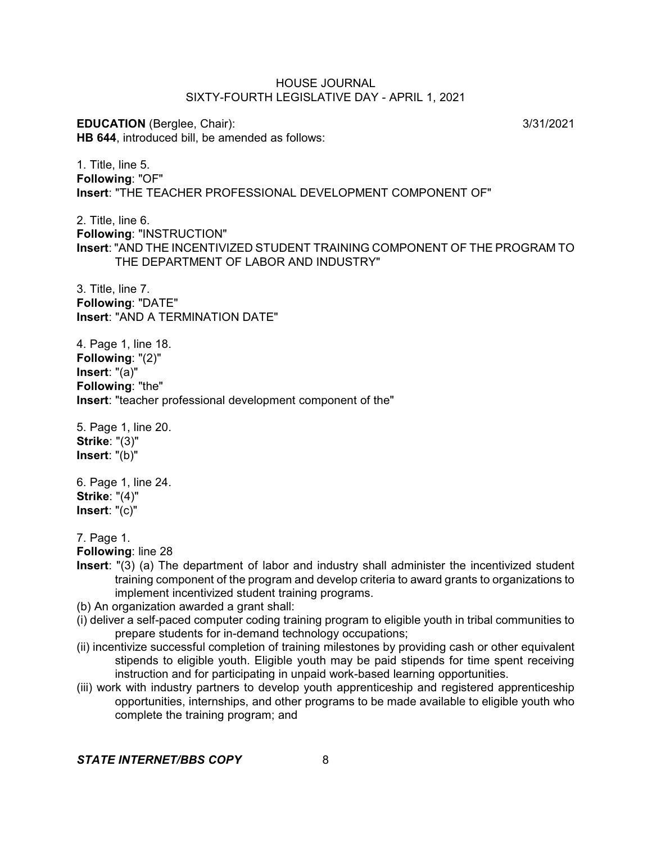**EDUCATION** (Berglee, Chair): 3/31/2021 **HB 644**, introduced bill, be amended as follows:

1. Title, line 5. **Following**: "OF" **Insert**: "THE TEACHER PROFESSIONAL DEVELOPMENT COMPONENT OF"

2. Title, line 6. **Following**: "INSTRUCTION" **Insert**: "AND THE INCENTIVIZED STUDENT TRAINING COMPONENT OF THE PROGRAM TO THE DEPARTMENT OF LABOR AND INDUSTRY"

3. Title, line 7. **Following**: "DATE" **Insert**: "AND A TERMINATION DATE"

4. Page 1, line 18. **Following**: "(2)" **Insert**: "(a)" **Following**: "the" **Insert**: "teacher professional development component of the"

5. Page 1, line 20. **Strike**: "(3)" **Insert**: "(b)"

6. Page 1, line 24. **Strike**: "(4)" **Insert**: "(c)"

7. Page 1.

**Following**: line 28

**Insert**: "(3) (a) The department of labor and industry shall administer the incentivized student training component of the program and develop criteria to award grants to organizations to implement incentivized student training programs.

(b) An organization awarded a grant shall:

- (i) deliver a self-paced computer coding training program to eligible youth in tribal communities to prepare students for in-demand technology occupations;
- (ii) incentivize successful completion of training milestones by providing cash or other equivalent stipends to eligible youth. Eligible youth may be paid stipends for time spent receiving instruction and for participating in unpaid work-based learning opportunities.
- (iii) work with industry partners to develop youth apprenticeship and registered apprenticeship opportunities, internships, and other programs to be made available to eligible youth who complete the training program; and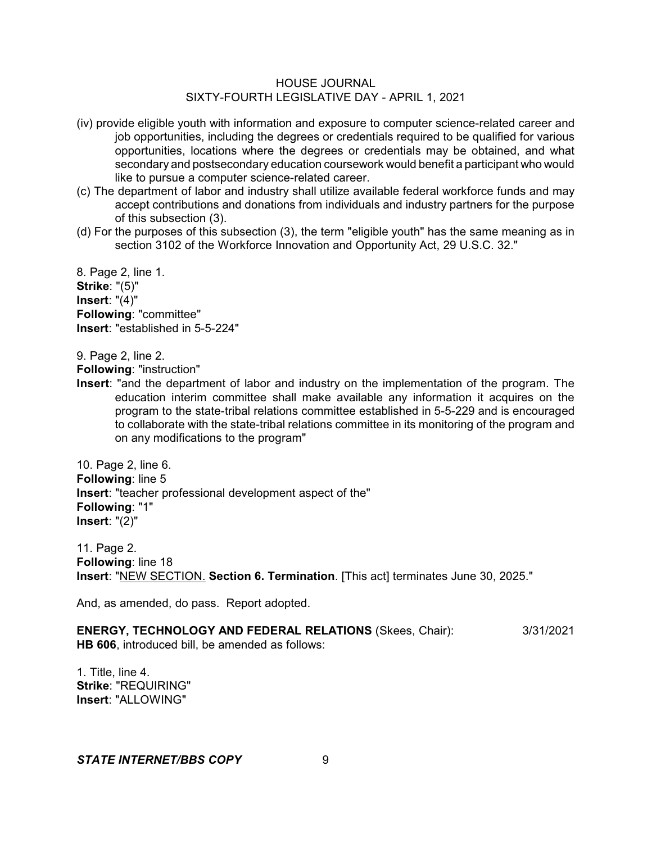- (iv) provide eligible youth with information and exposure to computer science-related career and job opportunities, including the degrees or credentials required to be qualified for various opportunities, locations where the degrees or credentials may be obtained, and what secondary and postsecondary education coursework would benefit a participant who would like to pursue a computer science-related career.
- (c) The department of labor and industry shall utilize available federal workforce funds and may accept contributions and donations from individuals and industry partners for the purpose of this subsection (3).
- (d) For the purposes of this subsection (3), the term "eligible youth" has the same meaning as in section 3102 of the Workforce Innovation and Opportunity Act, 29 U.S.C. 32."

8. Page 2, line 1. **Strike**: "(5)" **Insert**: "(4)" **Following**: "committee" **Insert**: "established in 5-5-224"

9. Page 2, line 2.

**Following**: "instruction"

**Insert**: "and the department of labor and industry on the implementation of the program. The education interim committee shall make available any information it acquires on the program to the state-tribal relations committee established in 5-5-229 and is encouraged to collaborate with the state-tribal relations committee in its monitoring of the program and on any modifications to the program"

10. Page 2, line 6. **Following**: line 5 **Insert**: "teacher professional development aspect of the" **Following**: "1" **Insert**: "(2)"

11. Page 2. **Following**: line 18 **Insert**: "NEW SECTION. **Section 6. Termination**. [This act] terminates June 30, 2025."

And, as amended, do pass. Report adopted.

**ENERGY, TECHNOLOGY AND FEDERAL RELATIONS** (Skees, Chair): 3/31/2021 **HB 606**, introduced bill, be amended as follows:

1. Title, line 4. **Strike**: "REQUIRING" **Insert**: "ALLOWING"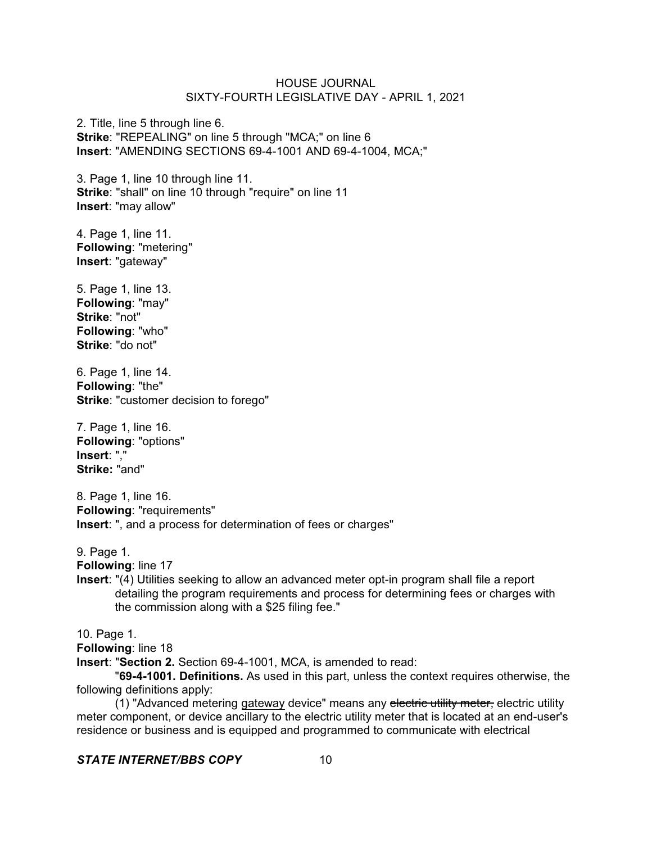2. Title, line 5 through line 6. **Strike**: "REPEALING" on line 5 through "MCA;" on line 6 **Insert**: "AMENDING SECTIONS 69-4-1001 AND 69-4-1004, MCA;"

3. Page 1, line 10 through line 11. **Strike**: "shall" on line 10 through "require" on line 11 **Insert**: "may allow"

4. Page 1, line 11. **Following**: "metering" **Insert**: "gateway"

5. Page 1, line 13. **Following**: "may" **Strike**: "not" **Following**: "who" **Strike**: "do not"

6. Page 1, line 14. **Following**: "the" **Strike**: "customer decision to forego"

7. Page 1, line 16. **Following**: "options" **Insert**: "," **Strike:** "and"

8. Page 1, line 16. **Following**: "requirements" **Insert**: ", and a process for determination of fees or charges"

9. Page 1.

**Following**: line 17

**Insert**: "(4) Utilities seeking to allow an advanced meter opt-in program shall file a report detailing the program requirements and process for determining fees or charges with the commission along with a \$25 filing fee."

10. Page 1.

**Following**: line 18

**Insert**: "**Section 2.** Section 69-4-1001, MCA, is amended to read:

"**69-4-1001. Definitions.** As used in this part, unless the context requires otherwise, the following definitions apply:

(1) "Advanced metering gateway device" means any electric utility meter, electric utility meter component, or device ancillary to the electric utility meter that is located at an end-user's residence or business and is equipped and programmed to communicate with electrical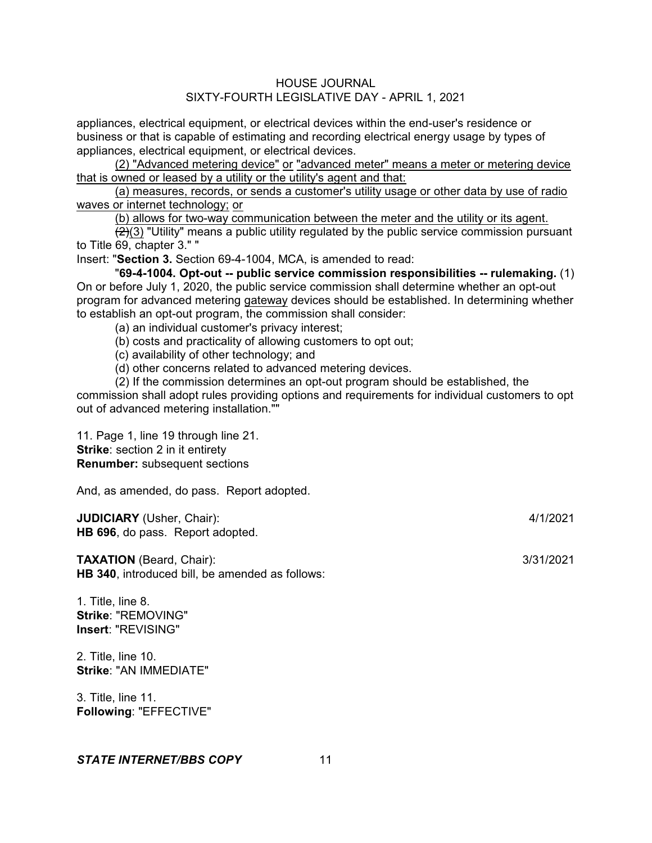appliances, electrical equipment, or electrical devices within the end-user's residence or business or that is capable of estimating and recording electrical energy usage by types of appliances, electrical equipment, or electrical devices.

(2) "Advanced metering device" or "advanced meter" means a meter or metering device that is owned or leased by a utility or the utility's agent and that:

(a) measures, records, or sends a customer's utility usage or other data by use of radio waves or internet technology; or

(b) allows for two-way communication between the meter and the utility or its agent.

 $(2)(3)$  "Utility" means a public utility regulated by the public service commission pursuant to Title 69, chapter 3." "

Insert: "**Section 3.** Section 69-4-1004, MCA, is amended to read:

"**69-4-1004. Opt-out -- public service commission responsibilities -- rulemaking.** (1) On or before July 1, 2020, the public service commission shall determine whether an opt-out program for advanced metering gateway devices should be established. In determining whether to establish an opt-out program, the commission shall consider:

(a) an individual customer's privacy interest;

(b) costs and practicality of allowing customers to opt out;

(c) availability of other technology; and

(d) other concerns related to advanced metering devices.

(2) If the commission determines an opt-out program should be established, the

commission shall adopt rules providing options and requirements for individual customers to opt out of advanced metering installation.""

11. Page 1, line 19 through line 21. **Strike**: section 2 in it entirety **Renumber:** subsequent sections

And, as amended, do pass. Report adopted.

**JUDICIARY** (Usher, Chair): 4/1/2021 **HB 696**, do pass. Report adopted.

**TAXATION** (Beard, Chair): 3/31/2021 **HB 340**, introduced bill, be amended as follows:

1. Title, line 8. **Strike**: "REMOVING" **Insert**: "REVISING"

2. Title, line 10. **Strike**: "AN IMMEDIATE"

3. Title, line 11. **Following**: "EFFECTIVE"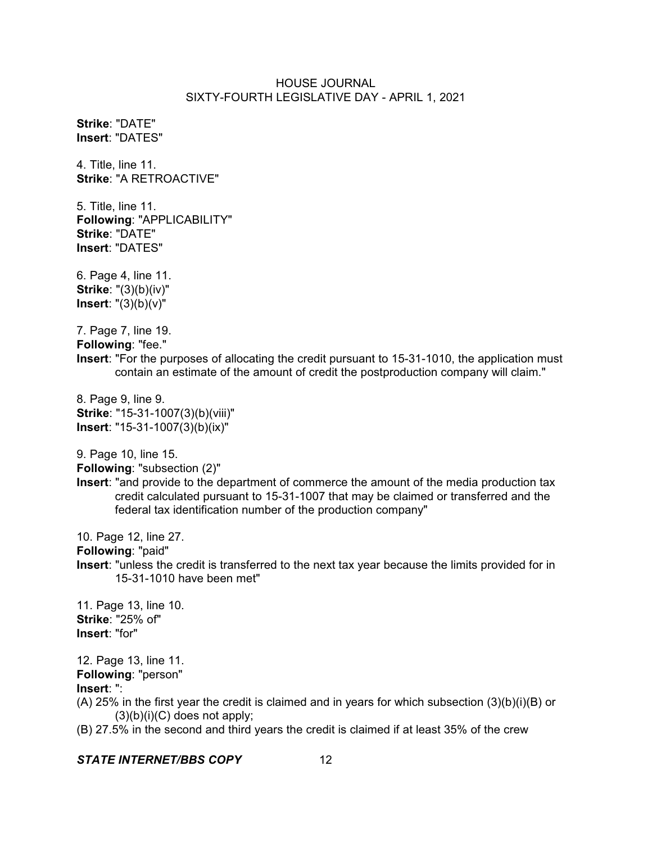**Strike**: "DATE" **Insert**: "DATES"

4. Title, line 11. **Strike**: "A RETROACTIVE"

5. Title, line 11. **Following**: "APPLICABILITY" **Strike**: "DATE" **Insert**: "DATES"

6. Page 4, line 11. **Strike**: "(3)(b)(iv)" **Insert**: "(3)(b)(v)"

7. Page 7, line 19. **Following**: "fee." **Insert**: "For the purposes of allocating the credit pursuant to 15-31-1010, the application must contain an estimate of the amount of credit the postproduction company will claim."

8. Page 9, line 9. **Strike**: "15-31-1007(3)(b)(viii)" **Insert**: "15-31-1007(3)(b)(ix)"

9. Page 10, line 15.

**Following**: "subsection (2)"

**Insert**: "and provide to the department of commerce the amount of the media production tax credit calculated pursuant to 15-31-1007 that may be claimed or transferred and the federal tax identification number of the production company"

10. Page 12, line 27.

**Following**: "paid"

**Insert**: "unless the credit is transferred to the next tax year because the limits provided for in 15-31-1010 have been met"

11. Page 13, line 10. **Strike**: "25% of" **Insert**: "for"

12. Page 13, line 11. **Following**: "person" **Insert**: ":

(A) 25% in the first year the credit is claimed and in years for which subsection (3)(b)(i)(B) or  $(3)(b)(i)(C)$  does not apply;

(B) 27.5% in the second and third years the credit is claimed if at least 35% of the crew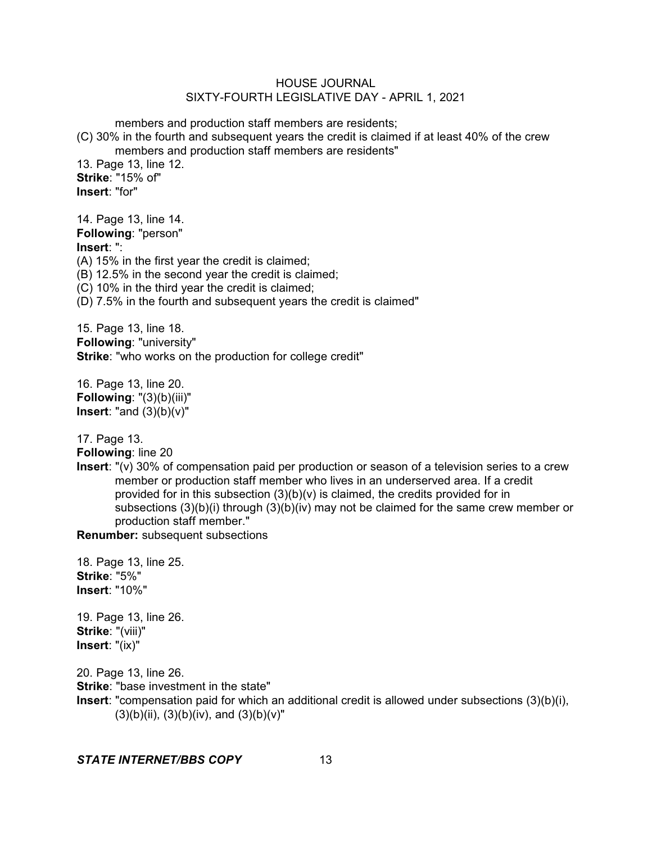members and production staff members are residents;

(C) 30% in the fourth and subsequent years the credit is claimed if at least 40% of the crew members and production staff members are residents"

13. Page 13, line 12. **Strike**: "15% of" **Insert**: "for"

| 14. Page 13, line 14. |  |
|-----------------------|--|
| Following: "person"   |  |
| $Inarrow.$ "          |  |

**Insert**: ":

(A) 15% in the first year the credit is claimed;

(B) 12.5% in the second year the credit is claimed;

(C) 10% in the third year the credit is claimed;

(D) 7.5% in the fourth and subsequent years the credit is claimed"

15. Page 13, line 18. **Following**: "university" **Strike**: "who works on the production for college credit"

16. Page 13, line 20. **Following**: "(3)(b)(iii)" **Insert**: "and (3)(b)(v)"

17. Page 13.

**Following**: line 20

**Insert**: "(v) 30% of compensation paid per production or season of a television series to a crew member or production staff member who lives in an underserved area. If a credit provided for in this subsection  $(3)(b)(v)$  is claimed, the credits provided for in subsections (3)(b)(i) through (3)(b)(iv) may not be claimed for the same crew member or production staff member."

**Renumber:** subsequent subsections

18. Page 13, line 25. **Strike**: "5%" **Insert**: "10%"

19. Page 13, line 26. **Strike**: "(viii)" **Insert**: "(ix)"

20. Page 13, line 26. **Strike**: "base investment in the state" **Insert**: "compensation paid for which an additional credit is allowed under subsections (3)(b)(i),  $(3)(b)(ii)$ ,  $(3)(b)(iv)$ , and  $(3)(b)(v)$ "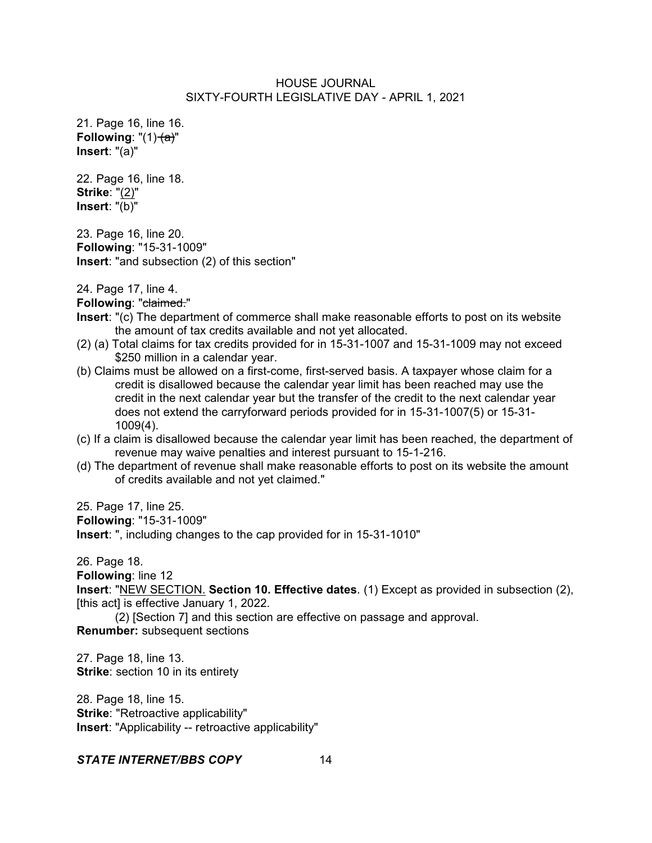21. Page 16, line 16. **Following:** " $(1)$   $(a)$ " **Insert**: "(a)"

22. Page 16, line 18. **Strike**: "(2)" **Insert**: "(b)"

23. Page 16, line 20. **Following**: "15-31-1009" **Insert**: "and subsection (2) of this section"

24. Page 17, line 4.

**Following: "claimed."** 

- **Insert**: "(c) The department of commerce shall make reasonable efforts to post on its website the amount of tax credits available and not yet allocated.
- (2) (a) Total claims for tax credits provided for in 15-31-1007 and 15-31-1009 may not exceed \$250 million in a calendar year.
- (b) Claims must be allowed on a first-come, first-served basis. A taxpayer whose claim for a credit is disallowed because the calendar year limit has been reached may use the credit in the next calendar year but the transfer of the credit to the next calendar year does not extend the carryforward periods provided for in 15-31-1007(5) or 15-31- 1009(4).
- (c) If a claim is disallowed because the calendar year limit has been reached, the department of revenue may waive penalties and interest pursuant to 15-1-216.
- (d) The department of revenue shall make reasonable efforts to post on its website the amount of credits available and not yet claimed."

25. Page 17, line 25.

**Following**: "15-31-1009"

**Insert**: ", including changes to the cap provided for in 15-31-1010"

26. Page 18.

**Following**: line 12

**Insert**: "NEW SECTION. **Section 10. Effective dates**. (1) Except as provided in subsection (2), [this act] is effective January 1, 2022.

(2) [Section 7] and this section are effective on passage and approval. **Renumber:** subsequent sections

27. Page 18, line 13. **Strike:** section 10 in its entirety

28. Page 18, line 15. **Strike**: "Retroactive applicability" **Insert**: "Applicability -- retroactive applicability"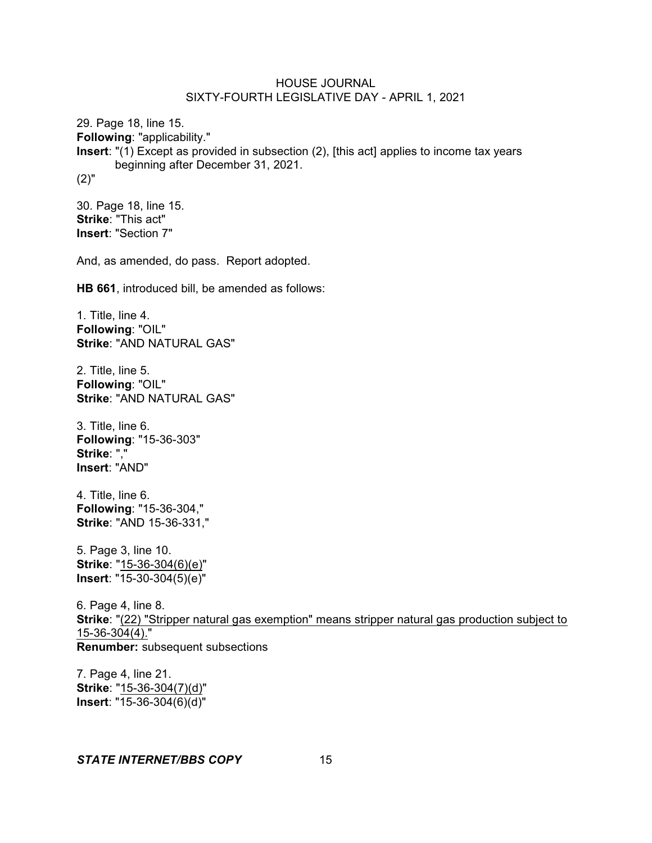29. Page 18, line 15. **Following**: "applicability." **Insert**: "(1) Except as provided in subsection (2), [this act] applies to income tax years beginning after December 31, 2021. (2)"

30. Page 18, line 15. **Strike**: "This act" **Insert**: "Section 7"

And, as amended, do pass. Report adopted.

**HB 661**, introduced bill, be amended as follows:

1. Title, line 4. **Following**: "OIL" **Strike**: "AND NATURAL GAS"

2. Title, line 5. **Following**: "OIL" **Strike**: "AND NATURAL GAS"

3. Title, line 6. **Following**: "15-36-303" **Strike**: "," **Insert**: "AND"

4. Title, line 6. **Following**: "15-36-304," **Strike**: "AND 15-36-331,"

5. Page 3, line 10. **Strike**: "15-36-304(6)(e)" **Insert**: "15-30-304(5)(e)"

6. Page 4, line 8. **Strike**: "(22) "Stripper natural gas exemption" means stripper natural gas production subject to 15-36-304(4)." **Renumber:** subsequent subsections

7. Page 4, line 21. **Strike**: "15-36-304(7)(d)" **Insert**: "15-36-304(6)(d)"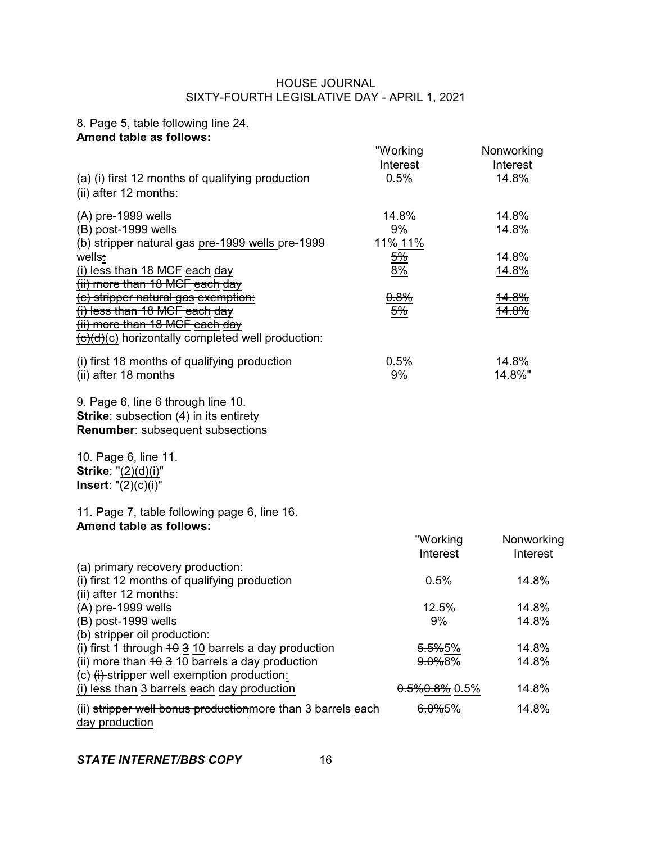# 8. Page 5, table following line 24. **Amend table as follows:**

| (a) (i) first 12 months of qualifying production                                                                               | "Working<br>Interest<br>0.5% | Nonworking<br>Interest<br>14.8% |
|--------------------------------------------------------------------------------------------------------------------------------|------------------------------|---------------------------------|
| (ii) after 12 months:                                                                                                          |                              |                                 |
| $(A)$ pre-1999 wells                                                                                                           | 14.8%                        | 14.8%                           |
| (B) post-1999 wells<br>(b) stripper natural gas pre-1999 wells pre-1999                                                        | 9%<br>11% 11%                | 14.8%                           |
| wells:<br>$(i)$ less than 18 MCF each day                                                                                      | $\frac{5\%}{ }$<br>8%        | 14.8%<br><del>14.8%</del>       |
| (ii) more than 18 MCF each day<br>(c) stripper natural gas exemption:                                                          | 0.8%                         | <del>14.8%</del>                |
| (i) less than 18 MCF each day<br>(ii) more than 18 MCF each day<br>$\overline{(c)(d)}$ horizontally completed well production: | $\frac{5\%}{ }$              | <del>14.8%</del>                |
| (i) first 18 months of qualifying production<br>(ii) after 18 months                                                           | 0.5%<br>9%                   | 14.8%<br>14.8%"                 |
| 9. Page 6, line 6 through line 10.<br><b>Strike:</b> subsection (4) in its entirety<br><b>Renumber:</b> subsequent subsections |                              |                                 |
| 10. Page 6, line 11.<br><b>Strike: "(2)(d)(i)"</b><br><b>Insert:</b> $"(2)(c)(i)"$                                             |                              |                                 |
| 11. Page 7, table following page 6, line 16.<br><b>Amend table as follows:</b>                                                 |                              |                                 |
|                                                                                                                                | "Working<br>Interest         | Nonworking<br>Interest          |
| (a) primary recovery production:<br>(i) first 12 months of qualifying production<br>(ii) after 12 months:                      | 0.5%                         | 14.8%                           |
| $(A)$ pre-1999 wells<br>(B) post-1999 wells<br>(b) stripper oil production:                                                    | 12.5%<br>9%                  | 14.8%<br>14.8%                  |
| (i) first 1 through $40.3$ 10 barrels a day production                                                                         | <del>5.5%</del> 5%           | 14.8%                           |
| (ii) more than $4\theta$ 3 10 barrels a day production<br>(c) $(i)$ stripper well exemption production:                        | 9.0%8%                       | 14.8%                           |
| (i) less than 3 barrels each day production                                                                                    | $0.5\%0.8\%$ 0.5%            | 14.8%                           |
| (ii) stripper well bonus productionmore than 3 barrels each<br>day production                                                  | 6.0%5%                       | 14.8%                           |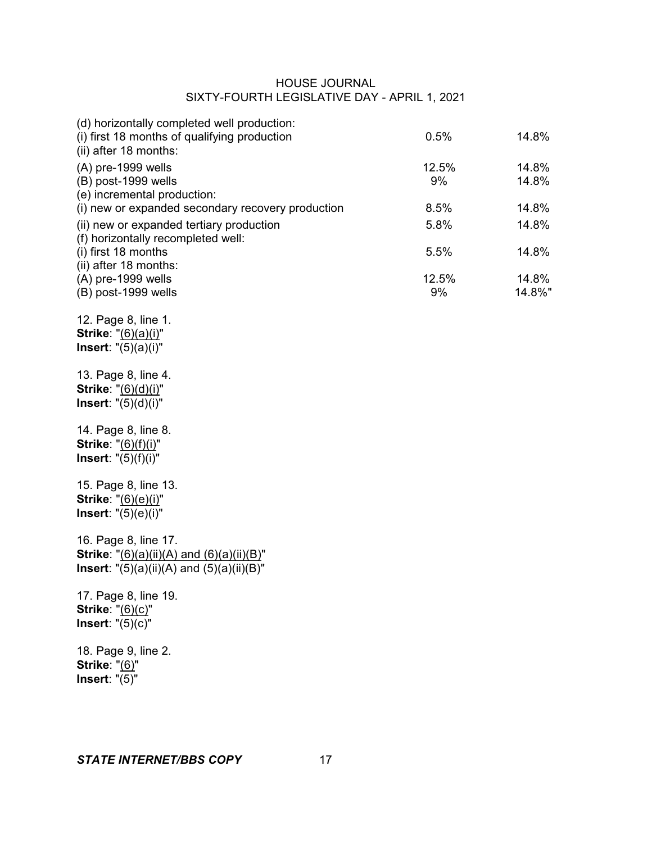| (d) horizontally completed well production:                                                                                  |             |                |
|------------------------------------------------------------------------------------------------------------------------------|-------------|----------------|
| (i) first 18 months of qualifying production<br>(ii) after 18 months:                                                        | 0.5%        | 14.8%          |
| $(A)$ pre-1999 wells<br>(B) post-1999 wells<br>(e) incremental production:                                                   | 12.5%<br>9% | 14.8%<br>14.8% |
| (i) new or expanded secondary recovery production                                                                            | 8.5%        | 14.8%          |
| (ii) new or expanded tertiary production<br>(f) horizontally recompleted well:                                               | 5.8%        | 14.8%          |
| (i) first 18 months<br>(ii) after 18 months:                                                                                 | 5.5%        | 14.8%          |
| $(A)$ pre-1999 wells                                                                                                         | 12.5%       | 14.8%          |
| (B) post-1999 wells                                                                                                          | 9%          | 14.8%"         |
| 12. Page 8, line 1.<br><b>Strike: "</b> (6)(a)(i)"<br><b>Insert:</b> $"(5)(a)(i)"$                                           |             |                |
| 13. Page 8, line 4.<br>Strike: "(6)(d)(i)"<br><b>Insert:</b> $"(5)(d)(i)"$                                                   |             |                |
| 14. Page 8, line 8.<br><b>Strike: "(6)(f)(i)"</b><br><b>Insert:</b> $"(5)(f)(i)"$                                            |             |                |
| 15. Page 8, line 13.<br><b>Strike: "</b> (6)(e)(i)"<br><b>Insert:</b> $"(5)(e)(i)"$                                          |             |                |
| 16. Page 8, line 17.<br><b>Strike:</b> "(6)(a)(ii)(A) and (6)(a)(ii)(B)"<br><b>Insert:</b> "(5)(a)(ii)(A) and (5)(a)(ii)(B)" |             |                |
| 17. Page 8, line 19.<br><b>Strike: "(6)(c)"</b><br>Insert: $"(5)(c)"$                                                        |             |                |
| 18. Page 9, line 2.<br><b>Strike: "(6)"</b><br>Insert: $"(5)"$                                                               |             |                |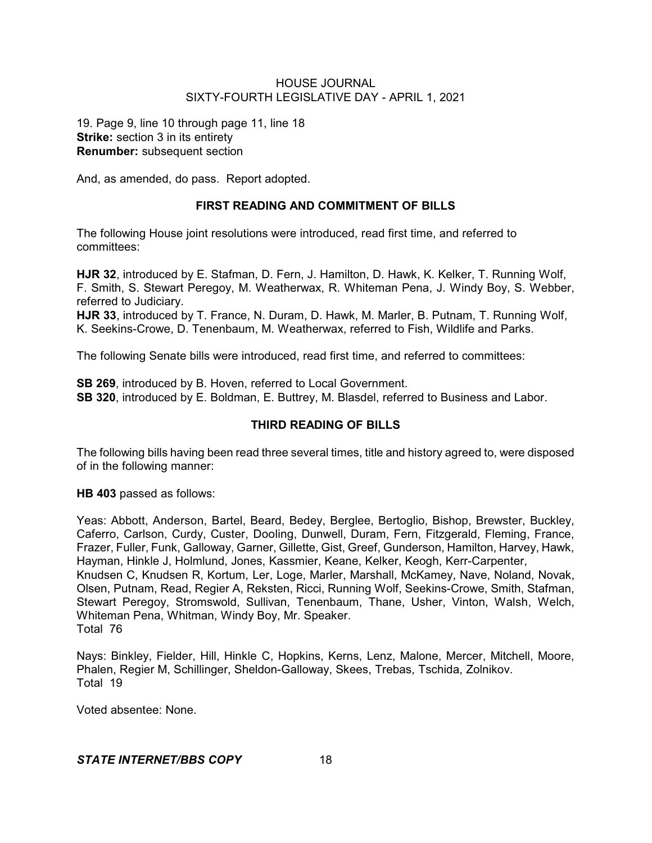19. Page 9, line 10 through page 11, line 18 **Strike:** section 3 in its entirety **Renumber:** subsequent section

And, as amended, do pass. Report adopted.

# **FIRST READING AND COMMITMENT OF BILLS**

The following House joint resolutions were introduced, read first time, and referred to committees:

**HJR 32**, introduced by E. Stafman, D. Fern, J. Hamilton, D. Hawk, K. Kelker, T. Running Wolf, F. Smith, S. Stewart Peregoy, M. Weatherwax, R. Whiteman Pena, J. Windy Boy, S. Webber, referred to Judiciary.

**HJR 33**, introduced by T. France, N. Duram, D. Hawk, M. Marler, B. Putnam, T. Running Wolf, K. Seekins-Crowe, D. Tenenbaum, M. Weatherwax, referred to Fish, Wildlife and Parks.

The following Senate bills were introduced, read first time, and referred to committees:

**SB 269**, introduced by B. Hoven, referred to Local Government. **SB 320**, introduced by E. Boldman, E. Buttrey, M. Blasdel, referred to Business and Labor.

# **THIRD READING OF BILLS**

The following bills having been read three several times, title and history agreed to, were disposed of in the following manner:

**HB 403** passed as follows:

Yeas: Abbott, Anderson, Bartel, Beard, Bedey, Berglee, Bertoglio, Bishop, Brewster, Buckley, Caferro, Carlson, Curdy, Custer, Dooling, Dunwell, Duram, Fern, Fitzgerald, Fleming, France, Frazer, Fuller, Funk, Galloway, Garner, Gillette, Gist, Greef, Gunderson, Hamilton, Harvey, Hawk, Hayman, Hinkle J, Holmlund, Jones, Kassmier, Keane, Kelker, Keogh, Kerr-Carpenter, Knudsen C, Knudsen R, Kortum, Ler, Loge, Marler, Marshall, McKamey, Nave, Noland, Novak, Olsen, Putnam, Read, Regier A, Reksten, Ricci, Running Wolf, Seekins-Crowe, Smith, Stafman, Stewart Peregoy, Stromswold, Sullivan, Tenenbaum, Thane, Usher, Vinton, Walsh, Welch, Whiteman Pena, Whitman, Windy Boy, Mr. Speaker. Total 76

Nays: Binkley, Fielder, Hill, Hinkle C, Hopkins, Kerns, Lenz, Malone, Mercer, Mitchell, Moore, Phalen, Regier M, Schillinger, Sheldon-Galloway, Skees, Trebas, Tschida, Zolnikov. Total 19

Voted absentee: None.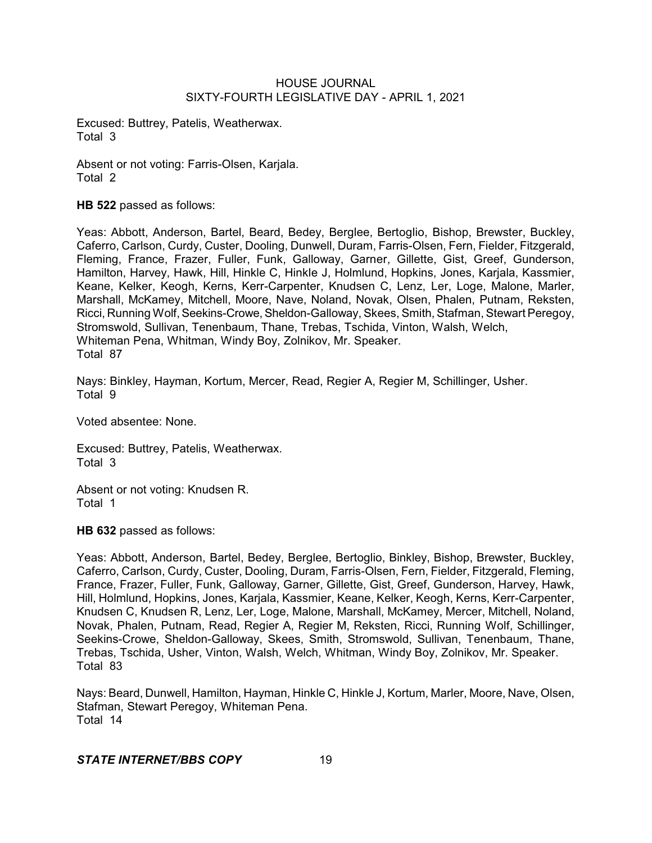Excused: Buttrey, Patelis, Weatherwax. Total 3

Absent or not voting: Farris-Olsen, Karjala. Total 2

**HB 522** passed as follows:

Yeas: Abbott, Anderson, Bartel, Beard, Bedey, Berglee, Bertoglio, Bishop, Brewster, Buckley, Caferro, Carlson, Curdy, Custer, Dooling, Dunwell, Duram, Farris-Olsen, Fern, Fielder, Fitzgerald, Fleming, France, Frazer, Fuller, Funk, Galloway, Garner, Gillette, Gist, Greef, Gunderson, Hamilton, Harvey, Hawk, Hill, Hinkle C, Hinkle J, Holmlund, Hopkins, Jones, Karjala, Kassmier, Keane, Kelker, Keogh, Kerns, Kerr-Carpenter, Knudsen C, Lenz, Ler, Loge, Malone, Marler, Marshall, McKamey, Mitchell, Moore, Nave, Noland, Novak, Olsen, Phalen, Putnam, Reksten, Ricci, Running Wolf, Seekins-Crowe, Sheldon-Galloway, Skees, Smith, Stafman, Stewart Peregoy, Stromswold, Sullivan, Tenenbaum, Thane, Trebas, Tschida, Vinton, Walsh, Welch, Whiteman Pena, Whitman, Windy Boy, Zolnikov, Mr. Speaker. Total 87

Nays: Binkley, Hayman, Kortum, Mercer, Read, Regier A, Regier M, Schillinger, Usher. Total 9

Voted absentee: None.

Excused: Buttrey, Patelis, Weatherwax. Total 3

Absent or not voting: Knudsen R. Total 1

**HB 632** passed as follows:

Yeas: Abbott, Anderson, Bartel, Bedey, Berglee, Bertoglio, Binkley, Bishop, Brewster, Buckley, Caferro, Carlson, Curdy, Custer, Dooling, Duram, Farris-Olsen, Fern, Fielder, Fitzgerald, Fleming, France, Frazer, Fuller, Funk, Galloway, Garner, Gillette, Gist, Greef, Gunderson, Harvey, Hawk, Hill, Holmlund, Hopkins, Jones, Karjala, Kassmier, Keane, Kelker, Keogh, Kerns, Kerr-Carpenter, Knudsen C, Knudsen R, Lenz, Ler, Loge, Malone, Marshall, McKamey, Mercer, Mitchell, Noland, Novak, Phalen, Putnam, Read, Regier A, Regier M, Reksten, Ricci, Running Wolf, Schillinger, Seekins-Crowe, Sheldon-Galloway, Skees, Smith, Stromswold, Sullivan, Tenenbaum, Thane, Trebas, Tschida, Usher, Vinton, Walsh, Welch, Whitman, Windy Boy, Zolnikov, Mr. Speaker. Total 83

Nays: Beard, Dunwell, Hamilton, Hayman, Hinkle C, Hinkle J, Kortum, Marler, Moore, Nave, Olsen, Stafman, Stewart Peregoy, Whiteman Pena. Total 14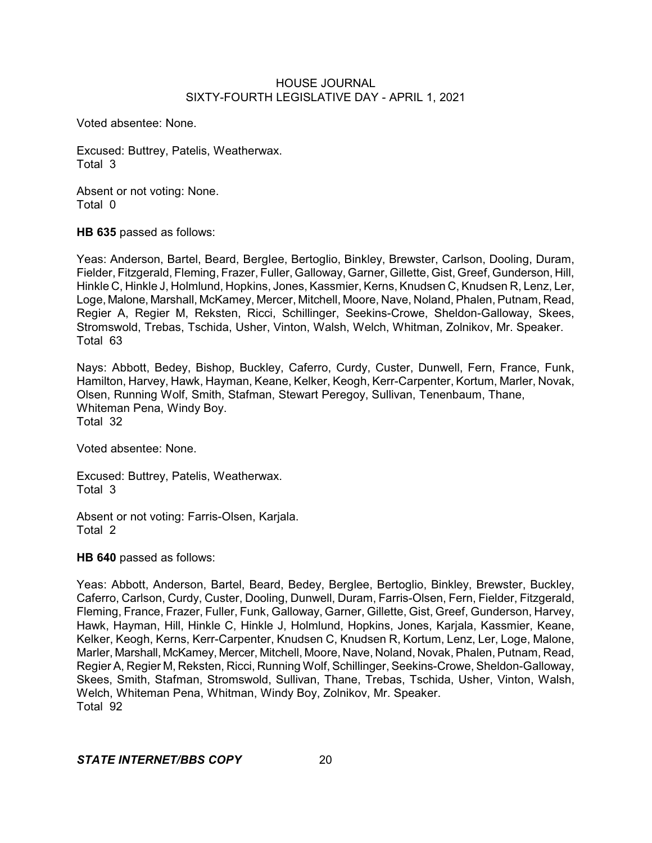Voted absentee: None.

Excused: Buttrey, Patelis, Weatherwax. Total 3

Absent or not voting: None. Total 0

**HB 635** passed as follows:

Yeas: Anderson, Bartel, Beard, Berglee, Bertoglio, Binkley, Brewster, Carlson, Dooling, Duram, Fielder, Fitzgerald, Fleming, Frazer, Fuller, Galloway, Garner, Gillette, Gist, Greef, Gunderson, Hill, Hinkle C, Hinkle J, Holmlund, Hopkins, Jones, Kassmier, Kerns, Knudsen C, Knudsen R, Lenz, Ler, Loge, Malone, Marshall, McKamey, Mercer, Mitchell, Moore, Nave, Noland, Phalen, Putnam, Read, Regier A, Regier M, Reksten, Ricci, Schillinger, Seekins-Crowe, Sheldon-Galloway, Skees, Stromswold, Trebas, Tschida, Usher, Vinton, Walsh, Welch, Whitman, Zolnikov, Mr. Speaker. Total 63

Nays: Abbott, Bedey, Bishop, Buckley, Caferro, Curdy, Custer, Dunwell, Fern, France, Funk, Hamilton, Harvey, Hawk, Hayman, Keane, Kelker, Keogh, Kerr-Carpenter, Kortum, Marler, Novak, Olsen, Running Wolf, Smith, Stafman, Stewart Peregoy, Sullivan, Tenenbaum, Thane, Whiteman Pena, Windy Boy. Total 32

Voted absentee: None.

Excused: Buttrey, Patelis, Weatherwax. Total 3

Absent or not voting: Farris-Olsen, Karjala. Total 2

**HB 640** passed as follows:

Yeas: Abbott, Anderson, Bartel, Beard, Bedey, Berglee, Bertoglio, Binkley, Brewster, Buckley, Caferro, Carlson, Curdy, Custer, Dooling, Dunwell, Duram, Farris-Olsen, Fern, Fielder, Fitzgerald, Fleming, France, Frazer, Fuller, Funk, Galloway, Garner, Gillette, Gist, Greef, Gunderson, Harvey, Hawk, Hayman, Hill, Hinkle C, Hinkle J, Holmlund, Hopkins, Jones, Karjala, Kassmier, Keane, Kelker, Keogh, Kerns, Kerr-Carpenter, Knudsen C, Knudsen R, Kortum, Lenz, Ler, Loge, Malone, Marler, Marshall, McKamey, Mercer, Mitchell, Moore, Nave, Noland, Novak, Phalen, Putnam, Read, Regier A, Regier M, Reksten, Ricci, Running Wolf, Schillinger, Seekins-Crowe, Sheldon-Galloway, Skees, Smith, Stafman, Stromswold, Sullivan, Thane, Trebas, Tschida, Usher, Vinton, Walsh, Welch, Whiteman Pena, Whitman, Windy Boy, Zolnikov, Mr. Speaker. Total 92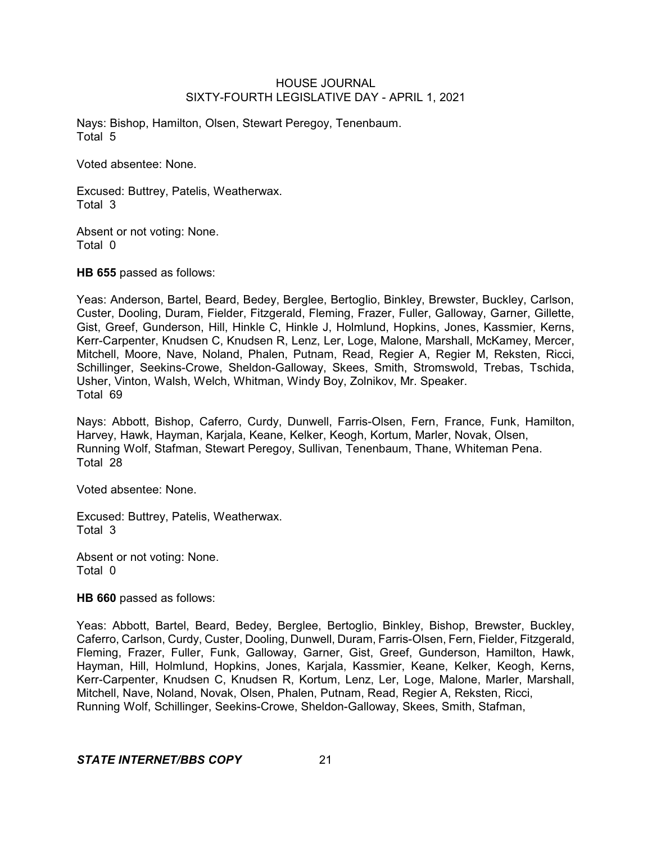Nays: Bishop, Hamilton, Olsen, Stewart Peregoy, Tenenbaum. Total 5

Voted absentee: None.

Excused: Buttrey, Patelis, Weatherwax. Total 3

Absent or not voting: None. Total 0

**HB 655** passed as follows:

Yeas: Anderson, Bartel, Beard, Bedey, Berglee, Bertoglio, Binkley, Brewster, Buckley, Carlson, Custer, Dooling, Duram, Fielder, Fitzgerald, Fleming, Frazer, Fuller, Galloway, Garner, Gillette, Gist, Greef, Gunderson, Hill, Hinkle C, Hinkle J, Holmlund, Hopkins, Jones, Kassmier, Kerns, Kerr-Carpenter, Knudsen C, Knudsen R, Lenz, Ler, Loge, Malone, Marshall, McKamey, Mercer, Mitchell, Moore, Nave, Noland, Phalen, Putnam, Read, Regier A, Regier M, Reksten, Ricci, Schillinger, Seekins-Crowe, Sheldon-Galloway, Skees, Smith, Stromswold, Trebas, Tschida, Usher, Vinton, Walsh, Welch, Whitman, Windy Boy, Zolnikov, Mr. Speaker. Total 69

Nays: Abbott, Bishop, Caferro, Curdy, Dunwell, Farris-Olsen, Fern, France, Funk, Hamilton, Harvey, Hawk, Hayman, Karjala, Keane, Kelker, Keogh, Kortum, Marler, Novak, Olsen, Running Wolf, Stafman, Stewart Peregoy, Sullivan, Tenenbaum, Thane, Whiteman Pena. Total 28

Voted absentee: None.

Excused: Buttrey, Patelis, Weatherwax. Total 3

Absent or not voting: None. Total 0

**HB 660** passed as follows:

Yeas: Abbott, Bartel, Beard, Bedey, Berglee, Bertoglio, Binkley, Bishop, Brewster, Buckley, Caferro, Carlson, Curdy, Custer, Dooling, Dunwell, Duram, Farris-Olsen, Fern, Fielder, Fitzgerald, Fleming, Frazer, Fuller, Funk, Galloway, Garner, Gist, Greef, Gunderson, Hamilton, Hawk, Hayman, Hill, Holmlund, Hopkins, Jones, Karjala, Kassmier, Keane, Kelker, Keogh, Kerns, Kerr-Carpenter, Knudsen C, Knudsen R, Kortum, Lenz, Ler, Loge, Malone, Marler, Marshall, Mitchell, Nave, Noland, Novak, Olsen, Phalen, Putnam, Read, Regier A, Reksten, Ricci, Running Wolf, Schillinger, Seekins-Crowe, Sheldon-Galloway, Skees, Smith, Stafman,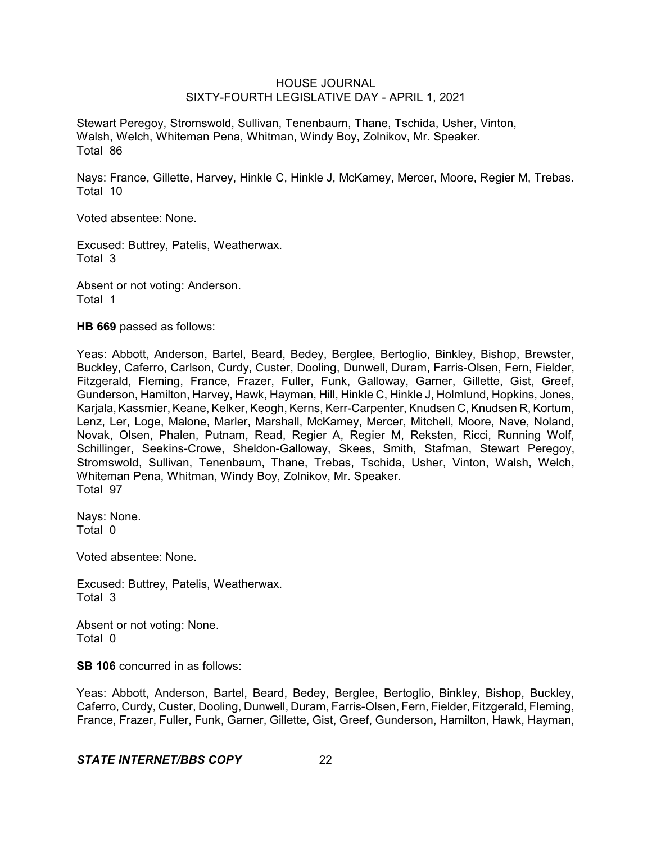Stewart Peregoy, Stromswold, Sullivan, Tenenbaum, Thane, Tschida, Usher, Vinton, Walsh, Welch, Whiteman Pena, Whitman, Windy Boy, Zolnikov, Mr. Speaker. Total 86

Nays: France, Gillette, Harvey, Hinkle C, Hinkle J, McKamey, Mercer, Moore, Regier M, Trebas. Total 10

Voted absentee: None.

Excused: Buttrey, Patelis, Weatherwax. Total 3

Absent or not voting: Anderson. Total 1

**HB 669** passed as follows:

Yeas: Abbott, Anderson, Bartel, Beard, Bedey, Berglee, Bertoglio, Binkley, Bishop, Brewster, Buckley, Caferro, Carlson, Curdy, Custer, Dooling, Dunwell, Duram, Farris-Olsen, Fern, Fielder, Fitzgerald, Fleming, France, Frazer, Fuller, Funk, Galloway, Garner, Gillette, Gist, Greef, Gunderson, Hamilton, Harvey, Hawk, Hayman, Hill, Hinkle C, Hinkle J, Holmlund, Hopkins, Jones, Karjala, Kassmier, Keane, Kelker, Keogh, Kerns, Kerr-Carpenter, Knudsen C, Knudsen R, Kortum, Lenz, Ler, Loge, Malone, Marler, Marshall, McKamey, Mercer, Mitchell, Moore, Nave, Noland, Novak, Olsen, Phalen, Putnam, Read, Regier A, Regier M, Reksten, Ricci, Running Wolf, Schillinger, Seekins-Crowe, Sheldon-Galloway, Skees, Smith, Stafman, Stewart Peregoy, Stromswold, Sullivan, Tenenbaum, Thane, Trebas, Tschida, Usher, Vinton, Walsh, Welch, Whiteman Pena, Whitman, Windy Boy, Zolnikov, Mr. Speaker. Total 97

Nays: None. Total 0

Voted absentee: None.

Excused: Buttrey, Patelis, Weatherwax. Total 3

Absent or not voting: None. Total 0

**SB 106** concurred in as follows:

Yeas: Abbott, Anderson, Bartel, Beard, Bedey, Berglee, Bertoglio, Binkley, Bishop, Buckley, Caferro, Curdy, Custer, Dooling, Dunwell, Duram, Farris-Olsen, Fern, Fielder, Fitzgerald, Fleming, France, Frazer, Fuller, Funk, Garner, Gillette, Gist, Greef, Gunderson, Hamilton, Hawk, Hayman,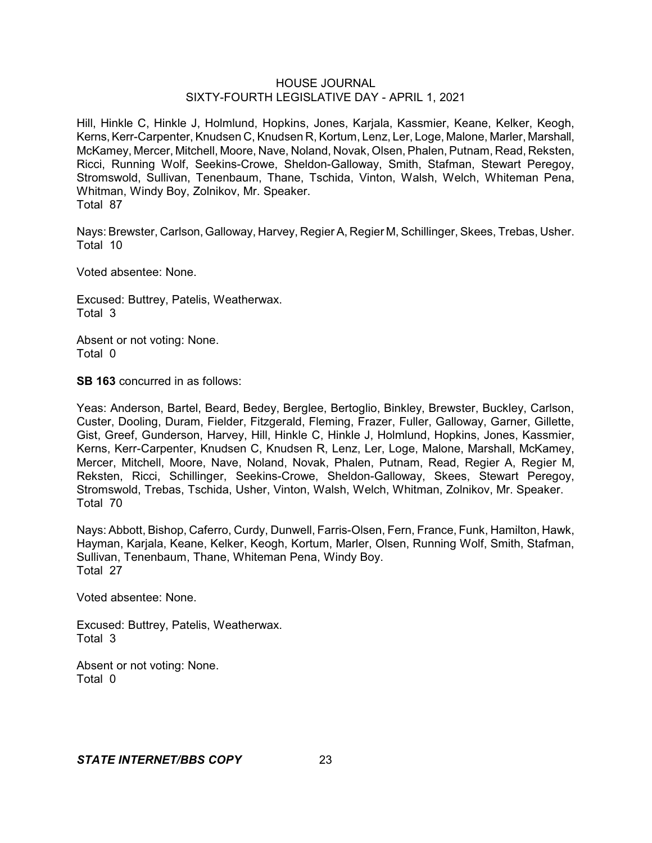Hill, Hinkle C, Hinkle J, Holmlund, Hopkins, Jones, Karjala, Kassmier, Keane, Kelker, Keogh, Kerns, Kerr-Carpenter, Knudsen C, Knudsen R, Kortum, Lenz, Ler, Loge, Malone, Marler, Marshall, McKamey, Mercer, Mitchell, Moore, Nave, Noland, Novak, Olsen, Phalen, Putnam, Read, Reksten, Ricci, Running Wolf, Seekins-Crowe, Sheldon-Galloway, Smith, Stafman, Stewart Peregoy, Stromswold, Sullivan, Tenenbaum, Thane, Tschida, Vinton, Walsh, Welch, Whiteman Pena, Whitman, Windy Boy, Zolnikov, Mr. Speaker. Total 87

Nays: Brewster, Carlson, Galloway, Harvey, Regier A, Regier M, Schillinger, Skees, Trebas, Usher. Total 10

Voted absentee: None.

Excused: Buttrey, Patelis, Weatherwax. Total 3

Absent or not voting: None. Total 0

**SB 163** concurred in as follows:

Yeas: Anderson, Bartel, Beard, Bedey, Berglee, Bertoglio, Binkley, Brewster, Buckley, Carlson, Custer, Dooling, Duram, Fielder, Fitzgerald, Fleming, Frazer, Fuller, Galloway, Garner, Gillette, Gist, Greef, Gunderson, Harvey, Hill, Hinkle C, Hinkle J, Holmlund, Hopkins, Jones, Kassmier, Kerns, Kerr-Carpenter, Knudsen C, Knudsen R, Lenz, Ler, Loge, Malone, Marshall, McKamey, Mercer, Mitchell, Moore, Nave, Noland, Novak, Phalen, Putnam, Read, Regier A, Regier M, Reksten, Ricci, Schillinger, Seekins-Crowe, Sheldon-Galloway, Skees, Stewart Peregoy, Stromswold, Trebas, Tschida, Usher, Vinton, Walsh, Welch, Whitman, Zolnikov, Mr. Speaker. Total 70

Nays: Abbott, Bishop, Caferro, Curdy, Dunwell, Farris-Olsen, Fern, France, Funk, Hamilton, Hawk, Hayman, Karjala, Keane, Kelker, Keogh, Kortum, Marler, Olsen, Running Wolf, Smith, Stafman, Sullivan, Tenenbaum, Thane, Whiteman Pena, Windy Boy. Total 27

Voted absentee: None.

Excused: Buttrey, Patelis, Weatherwax. Total 3

Absent or not voting: None. Total 0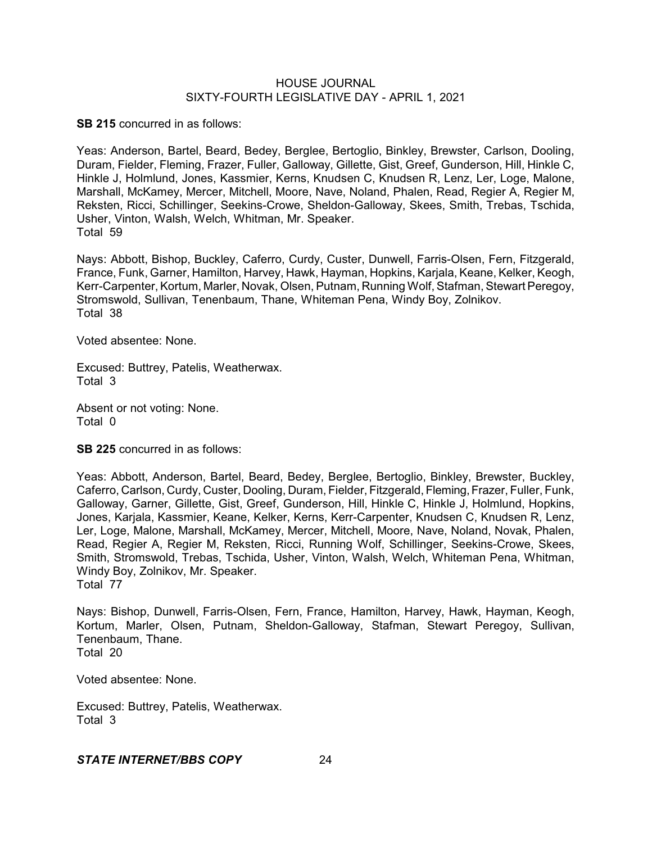**SB 215** concurred in as follows:

Yeas: Anderson, Bartel, Beard, Bedey, Berglee, Bertoglio, Binkley, Brewster, Carlson, Dooling, Duram, Fielder, Fleming, Frazer, Fuller, Galloway, Gillette, Gist, Greef, Gunderson, Hill, Hinkle C, Hinkle J, Holmlund, Jones, Kassmier, Kerns, Knudsen C, Knudsen R, Lenz, Ler, Loge, Malone, Marshall, McKamey, Mercer, Mitchell, Moore, Nave, Noland, Phalen, Read, Regier A, Regier M, Reksten, Ricci, Schillinger, Seekins-Crowe, Sheldon-Galloway, Skees, Smith, Trebas, Tschida, Usher, Vinton, Walsh, Welch, Whitman, Mr. Speaker. Total 59

Nays: Abbott, Bishop, Buckley, Caferro, Curdy, Custer, Dunwell, Farris-Olsen, Fern, Fitzgerald, France, Funk, Garner, Hamilton, Harvey, Hawk, Hayman, Hopkins, Karjala, Keane, Kelker, Keogh, Kerr-Carpenter, Kortum, Marler, Novak, Olsen, Putnam, Running Wolf, Stafman, Stewart Peregoy, Stromswold, Sullivan, Tenenbaum, Thane, Whiteman Pena, Windy Boy, Zolnikov. Total 38

Voted absentee: None.

Excused: Buttrey, Patelis, Weatherwax. Total 3

Absent or not voting: None. Total 0

**SB 225** concurred in as follows:

Yeas: Abbott, Anderson, Bartel, Beard, Bedey, Berglee, Bertoglio, Binkley, Brewster, Buckley, Caferro, Carlson, Curdy, Custer, Dooling, Duram, Fielder, Fitzgerald, Fleming,Frazer, Fuller, Funk, Galloway, Garner, Gillette, Gist, Greef, Gunderson, Hill, Hinkle C, Hinkle J, Holmlund, Hopkins, Jones, Karjala, Kassmier, Keane, Kelker, Kerns, Kerr-Carpenter, Knudsen C, Knudsen R, Lenz, Ler, Loge, Malone, Marshall, McKamey, Mercer, Mitchell, Moore, Nave, Noland, Novak, Phalen, Read, Regier A, Regier M, Reksten, Ricci, Running Wolf, Schillinger, Seekins-Crowe, Skees, Smith, Stromswold, Trebas, Tschida, Usher, Vinton, Walsh, Welch, Whiteman Pena, Whitman, Windy Boy, Zolnikov, Mr. Speaker. Total 77

Nays: Bishop, Dunwell, Farris-Olsen, Fern, France, Hamilton, Harvey, Hawk, Hayman, Keogh, Kortum, Marler, Olsen, Putnam, Sheldon-Galloway, Stafman, Stewart Peregoy, Sullivan, Tenenbaum, Thane. Total 20

Voted absentee: None.

Excused: Buttrey, Patelis, Weatherwax. Total 3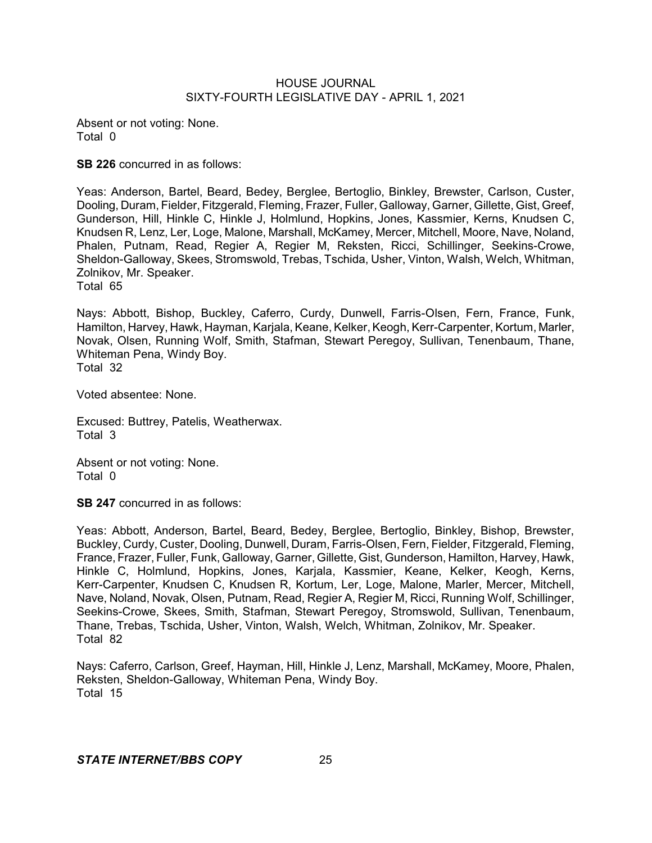Absent or not voting: None. Total 0

**SB 226** concurred in as follows:

Yeas: Anderson, Bartel, Beard, Bedey, Berglee, Bertoglio, Binkley, Brewster, Carlson, Custer, Dooling, Duram, Fielder, Fitzgerald, Fleming, Frazer, Fuller, Galloway, Garner, Gillette, Gist, Greef, Gunderson, Hill, Hinkle C, Hinkle J, Holmlund, Hopkins, Jones, Kassmier, Kerns, Knudsen C, Knudsen R, Lenz, Ler, Loge, Malone, Marshall, McKamey, Mercer, Mitchell, Moore, Nave, Noland, Phalen, Putnam, Read, Regier A, Regier M, Reksten, Ricci, Schillinger, Seekins-Crowe, Sheldon-Galloway, Skees, Stromswold, Trebas, Tschida, Usher, Vinton, Walsh, Welch, Whitman, Zolnikov, Mr. Speaker.

Total 65

Nays: Abbott, Bishop, Buckley, Caferro, Curdy, Dunwell, Farris-Olsen, Fern, France, Funk, Hamilton, Harvey, Hawk, Hayman, Karjala, Keane, Kelker, Keogh, Kerr-Carpenter, Kortum, Marler, Novak, Olsen, Running Wolf, Smith, Stafman, Stewart Peregoy, Sullivan, Tenenbaum, Thane, Whiteman Pena, Windy Boy. Total 32

Voted absentee: None.

Excused: Buttrey, Patelis, Weatherwax. Total 3

Absent or not voting: None. Total 0

**SB 247** concurred in as follows:

Yeas: Abbott, Anderson, Bartel, Beard, Bedey, Berglee, Bertoglio, Binkley, Bishop, Brewster, Buckley, Curdy, Custer, Dooling, Dunwell, Duram, Farris-Olsen, Fern, Fielder, Fitzgerald, Fleming, France, Frazer, Fuller, Funk, Galloway, Garner, Gillette, Gist, Gunderson, Hamilton, Harvey, Hawk, Hinkle C, Holmlund, Hopkins, Jones, Karjala, Kassmier, Keane, Kelker, Keogh, Kerns, Kerr-Carpenter, Knudsen C, Knudsen R, Kortum, Ler, Loge, Malone, Marler, Mercer, Mitchell, Nave, Noland, Novak, Olsen, Putnam, Read, Regier A, Regier M, Ricci, Running Wolf, Schillinger, Seekins-Crowe, Skees, Smith, Stafman, Stewart Peregoy, Stromswold, Sullivan, Tenenbaum, Thane, Trebas, Tschida, Usher, Vinton, Walsh, Welch, Whitman, Zolnikov, Mr. Speaker. Total 82

Nays: Caferro, Carlson, Greef, Hayman, Hill, Hinkle J, Lenz, Marshall, McKamey, Moore, Phalen, Reksten, Sheldon-Galloway, Whiteman Pena, Windy Boy. Total 15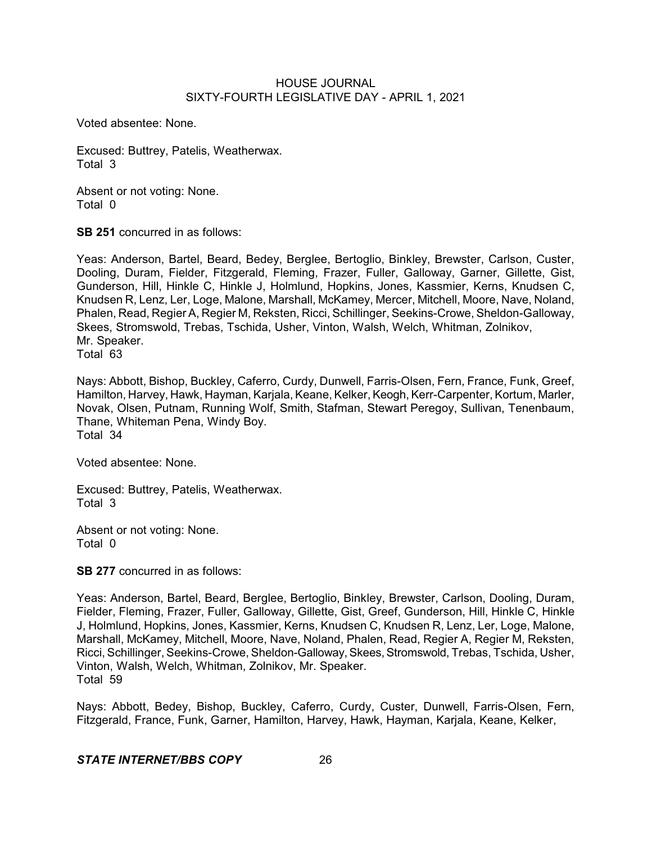Voted absentee: None.

Excused: Buttrey, Patelis, Weatherwax. Total 3

Absent or not voting: None. Total 0

**SB 251** concurred in as follows:

Yeas: Anderson, Bartel, Beard, Bedey, Berglee, Bertoglio, Binkley, Brewster, Carlson, Custer, Dooling, Duram, Fielder, Fitzgerald, Fleming, Frazer, Fuller, Galloway, Garner, Gillette, Gist, Gunderson, Hill, Hinkle C, Hinkle J, Holmlund, Hopkins, Jones, Kassmier, Kerns, Knudsen C, Knudsen R, Lenz, Ler, Loge, Malone, Marshall, McKamey, Mercer, Mitchell, Moore, Nave, Noland, Phalen, Read, Regier A, Regier M, Reksten, Ricci, Schillinger, Seekins-Crowe, Sheldon-Galloway, Skees, Stromswold, Trebas, Tschida, Usher, Vinton, Walsh, Welch, Whitman, Zolnikov, Mr. Speaker.

Total 63

Nays: Abbott, Bishop, Buckley, Caferro, Curdy, Dunwell, Farris-Olsen, Fern, France, Funk, Greef, Hamilton, Harvey, Hawk, Hayman, Karjala, Keane, Kelker, Keogh, Kerr-Carpenter, Kortum, Marler, Novak, Olsen, Putnam, Running Wolf, Smith, Stafman, Stewart Peregoy, Sullivan, Tenenbaum, Thane, Whiteman Pena, Windy Boy. Total 34

Voted absentee: None.

Excused: Buttrey, Patelis, Weatherwax. Total 3

Absent or not voting: None. Total 0

**SB 277** concurred in as follows:

Yeas: Anderson, Bartel, Beard, Berglee, Bertoglio, Binkley, Brewster, Carlson, Dooling, Duram, Fielder, Fleming, Frazer, Fuller, Galloway, Gillette, Gist, Greef, Gunderson, Hill, Hinkle C, Hinkle J, Holmlund, Hopkins, Jones, Kassmier, Kerns, Knudsen C, Knudsen R, Lenz, Ler, Loge, Malone, Marshall, McKamey, Mitchell, Moore, Nave, Noland, Phalen, Read, Regier A, Regier M, Reksten, Ricci, Schillinger, Seekins-Crowe,Sheldon-Galloway,Skees,Stromswold, Trebas, Tschida, Usher, Vinton, Walsh, Welch, Whitman, Zolnikov, Mr. Speaker. Total 59

Nays: Abbott, Bedey, Bishop, Buckley, Caferro, Curdy, Custer, Dunwell, Farris-Olsen, Fern, Fitzgerald, France, Funk, Garner, Hamilton, Harvey, Hawk, Hayman, Karjala, Keane, Kelker,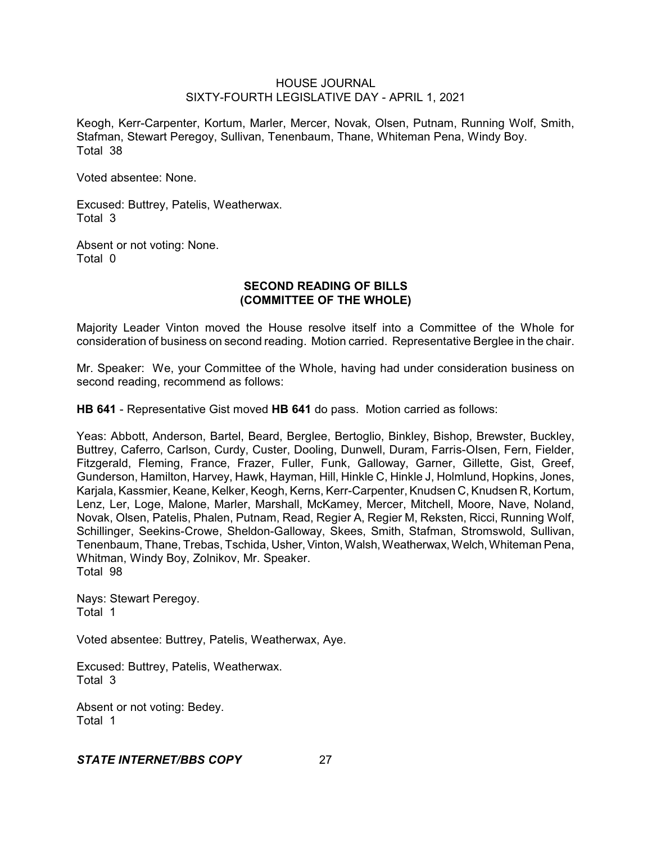Keogh, Kerr-Carpenter, Kortum, Marler, Mercer, Novak, Olsen, Putnam, Running Wolf, Smith, Stafman, Stewart Peregoy, Sullivan, Tenenbaum, Thane, Whiteman Pena, Windy Boy. Total 38

Voted absentee: None.

Excused: Buttrey, Patelis, Weatherwax. Total 3

Absent or not voting: None. Total 0

# **SECOND READING OF BILLS (COMMITTEE OF THE WHOLE)**

Majority Leader Vinton moved the House resolve itself into a Committee of the Whole for consideration of business on second reading. Motion carried. Representative Berglee in the chair.

Mr. Speaker: We, your Committee of the Whole, having had under consideration business on second reading, recommend as follows:

**HB 641** - Representative Gist moved **HB 641** do pass. Motion carried as follows:

Yeas: Abbott, Anderson, Bartel, Beard, Berglee, Bertoglio, Binkley, Bishop, Brewster, Buckley, Buttrey, Caferro, Carlson, Curdy, Custer, Dooling, Dunwell, Duram, Farris-Olsen, Fern, Fielder, Fitzgerald, Fleming, France, Frazer, Fuller, Funk, Galloway, Garner, Gillette, Gist, Greef, Gunderson, Hamilton, Harvey, Hawk, Hayman, Hill, Hinkle C, Hinkle J, Holmlund, Hopkins, Jones, Karjala, Kassmier, Keane, Kelker, Keogh, Kerns, Kerr-Carpenter, Knudsen C, Knudsen R, Kortum, Lenz, Ler, Loge, Malone, Marler, Marshall, McKamey, Mercer, Mitchell, Moore, Nave, Noland, Novak, Olsen, Patelis, Phalen, Putnam, Read, Regier A, Regier M, Reksten, Ricci, Running Wolf, Schillinger, Seekins-Crowe, Sheldon-Galloway, Skees, Smith, Stafman, Stromswold, Sullivan, Tenenbaum, Thane, Trebas, Tschida, Usher,Vinton, Walsh,Weatherwax, Welch, Whiteman Pena, Whitman, Windy Boy, Zolnikov, Mr. Speaker. Total 98

Nays: Stewart Peregoy. Total 1

Voted absentee: Buttrey, Patelis, Weatherwax, Aye.

Excused: Buttrey, Patelis, Weatherwax. Total 3

Absent or not voting: Bedey. Total 1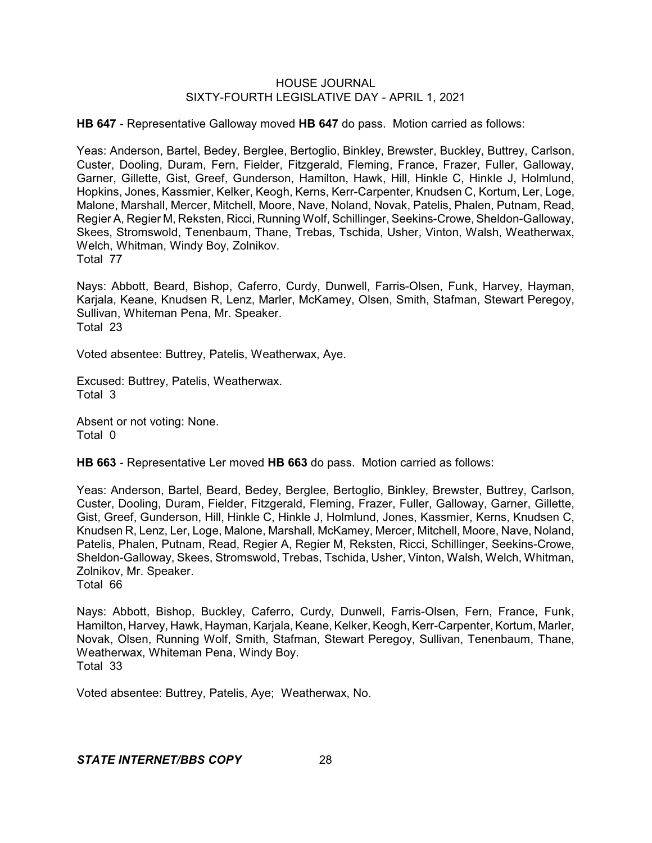**HB 647** - Representative Galloway moved **HB 647** do pass. Motion carried as follows:

Yeas: Anderson, Bartel, Bedey, Berglee, Bertoglio, Binkley, Brewster, Buckley, Buttrey, Carlson, Custer, Dooling, Duram, Fern, Fielder, Fitzgerald, Fleming, France, Frazer, Fuller, Galloway, Garner, Gillette, Gist, Greef, Gunderson, Hamilton, Hawk, Hill, Hinkle C, Hinkle J, Holmlund, Hopkins, Jones, Kassmier, Kelker, Keogh, Kerns, Kerr-Carpenter, Knudsen C, Kortum, Ler, Loge, Malone, Marshall, Mercer, Mitchell, Moore, Nave, Noland, Novak, Patelis, Phalen, Putnam, Read, Regier A, Regier M, Reksten, Ricci, Running Wolf, Schillinger, Seekins-Crowe, Sheldon-Galloway, Skees, Stromswold, Tenenbaum, Thane, Trebas, Tschida, Usher, Vinton, Walsh, Weatherwax, Welch, Whitman, Windy Boy, Zolnikov. Total 77

Nays: Abbott, Beard, Bishop, Caferro, Curdy, Dunwell, Farris-Olsen, Funk, Harvey, Hayman, Karjala, Keane, Knudsen R, Lenz, Marler, McKamey, Olsen, Smith, Stafman, Stewart Peregoy, Sullivan, Whiteman Pena, Mr. Speaker. Total 23

Voted absentee: Buttrey, Patelis, Weatherwax, Aye.

Excused: Buttrey, Patelis, Weatherwax. Total 3

Absent or not voting: None. Total 0

**HB 663** - Representative Ler moved **HB 663** do pass. Motion carried as follows:

Yeas: Anderson, Bartel, Beard, Bedey, Berglee, Bertoglio, Binkley, Brewster, Buttrey, Carlson, Custer, Dooling, Duram, Fielder, Fitzgerald, Fleming, Frazer, Fuller, Galloway, Garner, Gillette, Gist, Greef, Gunderson, Hill, Hinkle C, Hinkle J, Holmlund, Jones, Kassmier, Kerns, Knudsen C, Knudsen R, Lenz, Ler, Loge, Malone, Marshall, McKamey, Mercer, Mitchell, Moore, Nave, Noland, Patelis, Phalen, Putnam, Read, Regier A, Regier M, Reksten, Ricci, Schillinger, Seekins-Crowe, Sheldon-Galloway, Skees, Stromswold, Trebas, Tschida, Usher, Vinton, Walsh, Welch, Whitman, Zolnikov, Mr. Speaker.

Total 66

Nays: Abbott, Bishop, Buckley, Caferro, Curdy, Dunwell, Farris-Olsen, Fern, France, Funk, Hamilton, Harvey, Hawk, Hayman, Karjala, Keane, Kelker, Keogh, Kerr-Carpenter, Kortum, Marler, Novak, Olsen, Running Wolf, Smith, Stafman, Stewart Peregoy, Sullivan, Tenenbaum, Thane, Weatherwax, Whiteman Pena, Windy Boy. Total 33

Voted absentee: Buttrey, Patelis, Aye; Weatherwax, No.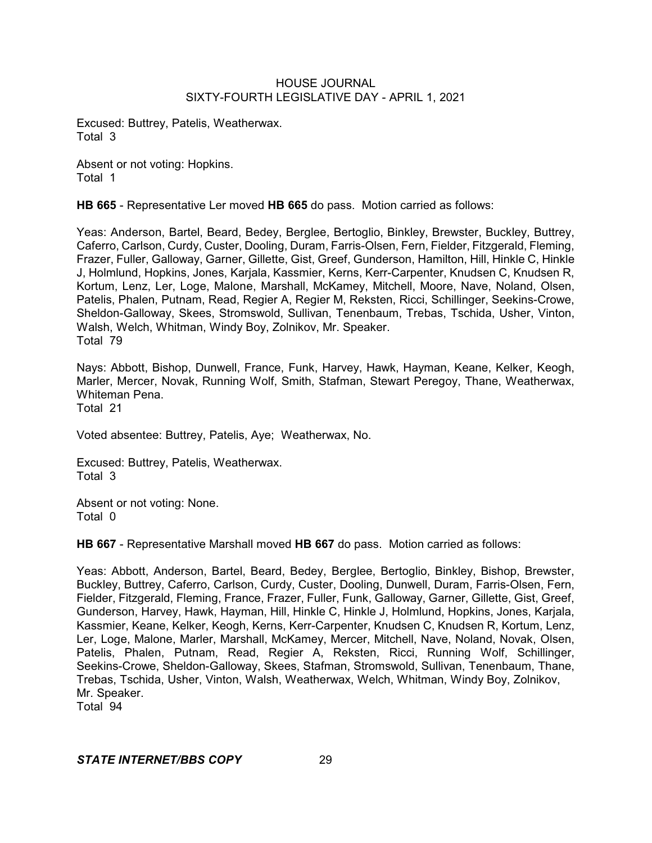Excused: Buttrey, Patelis, Weatherwax. Total 3

Absent or not voting: Hopkins. Total 1

**HB 665** - Representative Ler moved **HB 665** do pass. Motion carried as follows:

Yeas: Anderson, Bartel, Beard, Bedey, Berglee, Bertoglio, Binkley, Brewster, Buckley, Buttrey, Caferro, Carlson, Curdy, Custer, Dooling, Duram, Farris-Olsen, Fern, Fielder, Fitzgerald, Fleming, Frazer, Fuller, Galloway, Garner, Gillette, Gist, Greef, Gunderson, Hamilton, Hill, Hinkle C, Hinkle J, Holmlund, Hopkins, Jones, Karjala, Kassmier, Kerns, Kerr-Carpenter, Knudsen C, Knudsen R, Kortum, Lenz, Ler, Loge, Malone, Marshall, McKamey, Mitchell, Moore, Nave, Noland, Olsen, Patelis, Phalen, Putnam, Read, Regier A, Regier M, Reksten, Ricci, Schillinger, Seekins-Crowe, Sheldon-Galloway, Skees, Stromswold, Sullivan, Tenenbaum, Trebas, Tschida, Usher, Vinton, Walsh, Welch, Whitman, Windy Boy, Zolnikov, Mr. Speaker. Total 79

Nays: Abbott, Bishop, Dunwell, France, Funk, Harvey, Hawk, Hayman, Keane, Kelker, Keogh, Marler, Mercer, Novak, Running Wolf, Smith, Stafman, Stewart Peregoy, Thane, Weatherwax, Whiteman Pena. Total 21

Voted absentee: Buttrey, Patelis, Aye; Weatherwax, No.

Excused: Buttrey, Patelis, Weatherwax. Total 3

Absent or not voting: None. Total 0

**HB 667** - Representative Marshall moved **HB 667** do pass. Motion carried as follows:

Yeas: Abbott, Anderson, Bartel, Beard, Bedey, Berglee, Bertoglio, Binkley, Bishop, Brewster, Buckley, Buttrey, Caferro, Carlson, Curdy, Custer, Dooling, Dunwell, Duram, Farris-Olsen, Fern, Fielder, Fitzgerald, Fleming, France, Frazer, Fuller, Funk, Galloway, Garner, Gillette, Gist, Greef, Gunderson, Harvey, Hawk, Hayman, Hill, Hinkle C, Hinkle J, Holmlund, Hopkins, Jones, Karjala, Kassmier, Keane, Kelker, Keogh, Kerns, Kerr-Carpenter, Knudsen C, Knudsen R, Kortum, Lenz, Ler, Loge, Malone, Marler, Marshall, McKamey, Mercer, Mitchell, Nave, Noland, Novak, Olsen, Patelis, Phalen, Putnam, Read, Regier A, Reksten, Ricci, Running Wolf, Schillinger, Seekins-Crowe, Sheldon-Galloway, Skees, Stafman, Stromswold, Sullivan, Tenenbaum, Thane, Trebas, Tschida, Usher, Vinton, Walsh, Weatherwax, Welch, Whitman, Windy Boy, Zolnikov, Mr. Speaker.

Total 94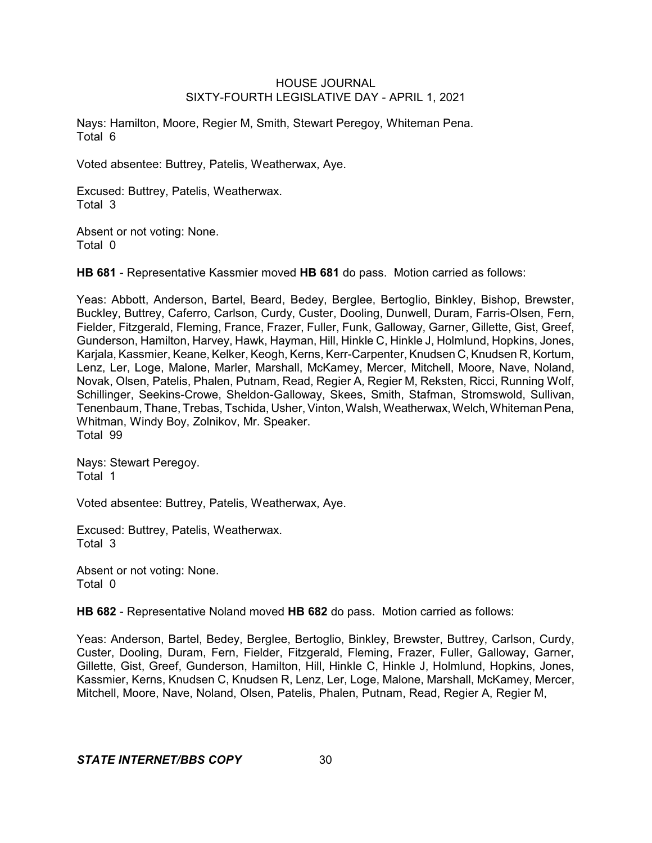Nays: Hamilton, Moore, Regier M, Smith, Stewart Peregoy, Whiteman Pena. Total 6

Voted absentee: Buttrey, Patelis, Weatherwax, Aye.

Excused: Buttrey, Patelis, Weatherwax. Total 3

Absent or not voting: None. Total 0

**HB 681** - Representative Kassmier moved **HB 681** do pass. Motion carried as follows:

Yeas: Abbott, Anderson, Bartel, Beard, Bedey, Berglee, Bertoglio, Binkley, Bishop, Brewster, Buckley, Buttrey, Caferro, Carlson, Curdy, Custer, Dooling, Dunwell, Duram, Farris-Olsen, Fern, Fielder, Fitzgerald, Fleming, France, Frazer, Fuller, Funk, Galloway, Garner, Gillette, Gist, Greef, Gunderson, Hamilton, Harvey, Hawk, Hayman, Hill, Hinkle C, Hinkle J, Holmlund, Hopkins, Jones, Karjala, Kassmier, Keane, Kelker, Keogh, Kerns, Kerr-Carpenter, Knudsen C, Knudsen R, Kortum, Lenz, Ler, Loge, Malone, Marler, Marshall, McKamey, Mercer, Mitchell, Moore, Nave, Noland, Novak, Olsen, Patelis, Phalen, Putnam, Read, Regier A, Regier M, Reksten, Ricci, Running Wolf, Schillinger, Seekins-Crowe, Sheldon-Galloway, Skees, Smith, Stafman, Stromswold, Sullivan, Tenenbaum, Thane, Trebas, Tschida, Usher, Vinton, Walsh, Weatherwax, Welch, Whiteman Pena, Whitman, Windy Boy, Zolnikov, Mr. Speaker. Total 99

Nays: Stewart Peregoy. Total 1

Voted absentee: Buttrey, Patelis, Weatherwax, Aye.

Excused: Buttrey, Patelis, Weatherwax. Total 3

Absent or not voting: None. Total 0

**HB 682** - Representative Noland moved **HB 682** do pass. Motion carried as follows:

Yeas: Anderson, Bartel, Bedey, Berglee, Bertoglio, Binkley, Brewster, Buttrey, Carlson, Curdy, Custer, Dooling, Duram, Fern, Fielder, Fitzgerald, Fleming, Frazer, Fuller, Galloway, Garner, Gillette, Gist, Greef, Gunderson, Hamilton, Hill, Hinkle C, Hinkle J, Holmlund, Hopkins, Jones, Kassmier, Kerns, Knudsen C, Knudsen R, Lenz, Ler, Loge, Malone, Marshall, McKamey, Mercer, Mitchell, Moore, Nave, Noland, Olsen, Patelis, Phalen, Putnam, Read, Regier A, Regier M,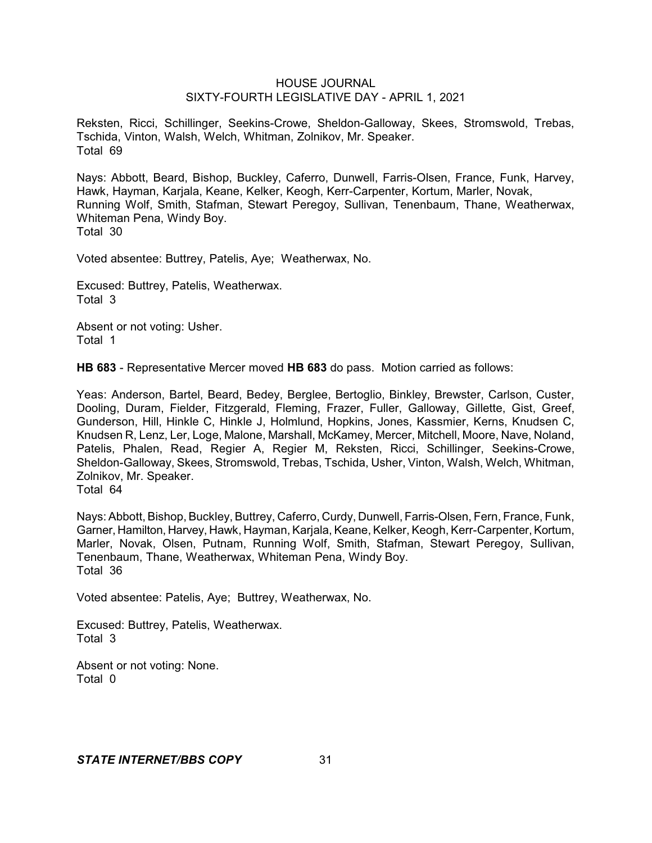Reksten, Ricci, Schillinger, Seekins-Crowe, Sheldon-Galloway, Skees, Stromswold, Trebas, Tschida, Vinton, Walsh, Welch, Whitman, Zolnikov, Mr. Speaker. Total 69

Nays: Abbott, Beard, Bishop, Buckley, Caferro, Dunwell, Farris-Olsen, France, Funk, Harvey, Hawk, Hayman, Karjala, Keane, Kelker, Keogh, Kerr-Carpenter, Kortum, Marler, Novak, Running Wolf, Smith, Stafman, Stewart Peregoy, Sullivan, Tenenbaum, Thane, Weatherwax, Whiteman Pena, Windy Boy. Total 30

Voted absentee: Buttrey, Patelis, Aye; Weatherwax, No.

Excused: Buttrey, Patelis, Weatherwax. Total 3

Absent or not voting: Usher. Total 1

**HB 683** - Representative Mercer moved **HB 683** do pass. Motion carried as follows:

Yeas: Anderson, Bartel, Beard, Bedey, Berglee, Bertoglio, Binkley, Brewster, Carlson, Custer, Dooling, Duram, Fielder, Fitzgerald, Fleming, Frazer, Fuller, Galloway, Gillette, Gist, Greef, Gunderson, Hill, Hinkle C, Hinkle J, Holmlund, Hopkins, Jones, Kassmier, Kerns, Knudsen C, Knudsen R, Lenz, Ler, Loge, Malone, Marshall, McKamey, Mercer, Mitchell, Moore, Nave, Noland, Patelis, Phalen, Read, Regier A, Regier M, Reksten, Ricci, Schillinger, Seekins-Crowe, Sheldon-Galloway, Skees, Stromswold, Trebas, Tschida, Usher, Vinton, Walsh, Welch, Whitman, Zolnikov, Mr. Speaker. Total 64

Nays: Abbott, Bishop, Buckley, Buttrey, Caferro, Curdy, Dunwell, Farris-Olsen, Fern, France, Funk, Garner, Hamilton, Harvey, Hawk, Hayman, Karjala, Keane, Kelker, Keogh, Kerr-Carpenter, Kortum, Marler, Novak, Olsen, Putnam, Running Wolf, Smith, Stafman, Stewart Peregoy, Sullivan, Tenenbaum, Thane, Weatherwax, Whiteman Pena, Windy Boy. Total 36

Voted absentee: Patelis, Aye; Buttrey, Weatherwax, No.

Excused: Buttrey, Patelis, Weatherwax. Total 3

Absent or not voting: None. Total 0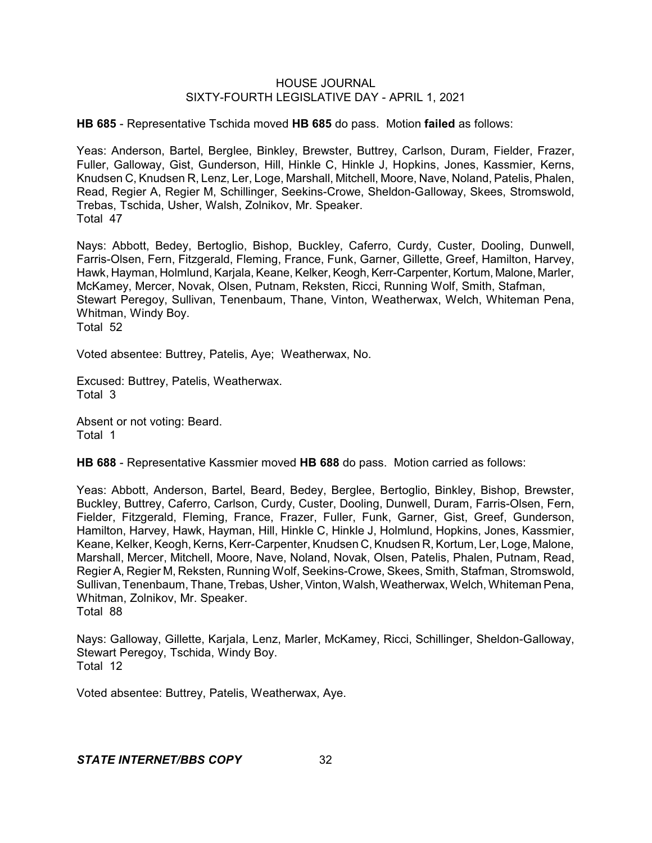**HB 685** - Representative Tschida moved **HB 685** do pass. Motion **failed** as follows:

Yeas: Anderson, Bartel, Berglee, Binkley, Brewster, Buttrey, Carlson, Duram, Fielder, Frazer, Fuller, Galloway, Gist, Gunderson, Hill, Hinkle C, Hinkle J, Hopkins, Jones, Kassmier, Kerns, Knudsen C, Knudsen R, Lenz, Ler, Loge, Marshall, Mitchell, Moore, Nave, Noland, Patelis, Phalen, Read, Regier A, Regier M, Schillinger, Seekins-Crowe, Sheldon-Galloway, Skees, Stromswold, Trebas, Tschida, Usher, Walsh, Zolnikov, Mr. Speaker. Total 47

Nays: Abbott, Bedey, Bertoglio, Bishop, Buckley, Caferro, Curdy, Custer, Dooling, Dunwell, Farris-Olsen, Fern, Fitzgerald, Fleming, France, Funk, Garner, Gillette, Greef, Hamilton, Harvey, Hawk, Hayman, Holmlund, Karjala, Keane, Kelker, Keogh, Kerr-Carpenter, Kortum, Malone, Marler, McKamey, Mercer, Novak, Olsen, Putnam, Reksten, Ricci, Running Wolf, Smith, Stafman, Stewart Peregoy, Sullivan, Tenenbaum, Thane, Vinton, Weatherwax, Welch, Whiteman Pena, Whitman, Windy Boy. Total 52

Voted absentee: Buttrey, Patelis, Aye; Weatherwax, No.

Excused: Buttrey, Patelis, Weatherwax. Total 3

Absent or not voting: Beard. Total 1

**HB 688** - Representative Kassmier moved **HB 688** do pass. Motion carried as follows:

Yeas: Abbott, Anderson, Bartel, Beard, Bedey, Berglee, Bertoglio, Binkley, Bishop, Brewster, Buckley, Buttrey, Caferro, Carlson, Curdy, Custer, Dooling, Dunwell, Duram, Farris-Olsen, Fern, Fielder, Fitzgerald, Fleming, France, Frazer, Fuller, Funk, Garner, Gist, Greef, Gunderson, Hamilton, Harvey, Hawk, Hayman, Hill, Hinkle C, Hinkle J, Holmlund, Hopkins, Jones, Kassmier, Keane, Kelker, Keogh, Kerns, Kerr-Carpenter, Knudsen C, Knudsen R, Kortum, Ler, Loge, Malone, Marshall, Mercer, Mitchell, Moore, Nave, Noland, Novak, Olsen, Patelis, Phalen, Putnam, Read, Regier A, Regier M, Reksten, Running Wolf, Seekins-Crowe, Skees, Smith, Stafman, Stromswold, Sullivan, Tenenbaum, Thane, Trebas, Usher,Vinton, Walsh,Weatherwax, Welch, Whiteman Pena, Whitman, Zolnikov, Mr. Speaker. Total 88

Nays: Galloway, Gillette, Karjala, Lenz, Marler, McKamey, Ricci, Schillinger, Sheldon-Galloway, Stewart Peregoy, Tschida, Windy Boy. Total 12

Voted absentee: Buttrey, Patelis, Weatherwax, Aye.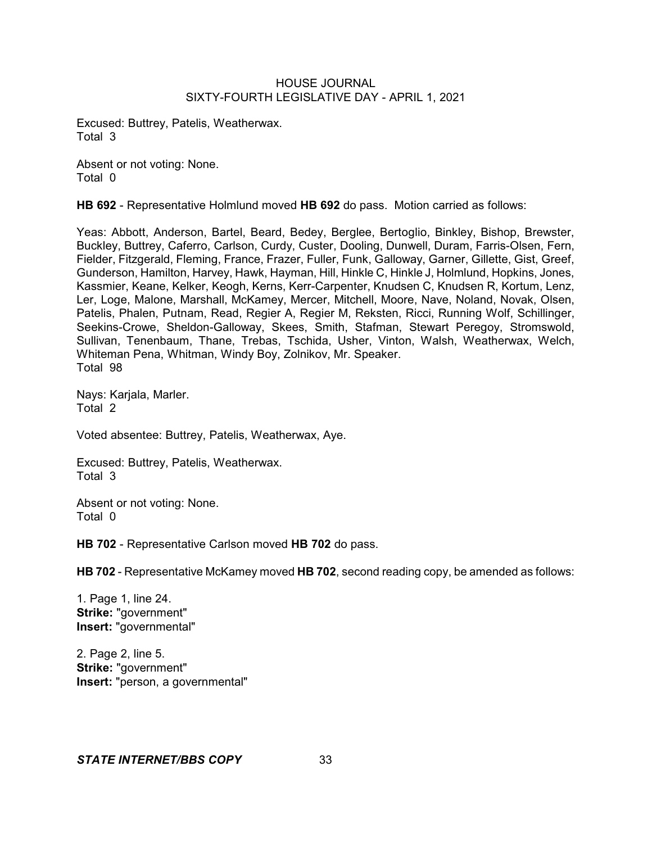Excused: Buttrey, Patelis, Weatherwax. Total 3

Absent or not voting: None. Total 0

**HB 692** - Representative Holmlund moved **HB 692** do pass. Motion carried as follows:

Yeas: Abbott, Anderson, Bartel, Beard, Bedey, Berglee, Bertoglio, Binkley, Bishop, Brewster, Buckley, Buttrey, Caferro, Carlson, Curdy, Custer, Dooling, Dunwell, Duram, Farris-Olsen, Fern, Fielder, Fitzgerald, Fleming, France, Frazer, Fuller, Funk, Galloway, Garner, Gillette, Gist, Greef, Gunderson, Hamilton, Harvey, Hawk, Hayman, Hill, Hinkle C, Hinkle J, Holmlund, Hopkins, Jones, Kassmier, Keane, Kelker, Keogh, Kerns, Kerr-Carpenter, Knudsen C, Knudsen R, Kortum, Lenz, Ler, Loge, Malone, Marshall, McKamey, Mercer, Mitchell, Moore, Nave, Noland, Novak, Olsen, Patelis, Phalen, Putnam, Read, Regier A, Regier M, Reksten, Ricci, Running Wolf, Schillinger, Seekins-Crowe, Sheldon-Galloway, Skees, Smith, Stafman, Stewart Peregoy, Stromswold, Sullivan, Tenenbaum, Thane, Trebas, Tschida, Usher, Vinton, Walsh, Weatherwax, Welch, Whiteman Pena, Whitman, Windy Boy, Zolnikov, Mr. Speaker. Total 98

Nays: Karjala, Marler. Total 2

Voted absentee: Buttrey, Patelis, Weatherwax, Aye.

Excused: Buttrey, Patelis, Weatherwax. Total 3

Absent or not voting: None. Total 0

**HB 702** - Representative Carlson moved **HB 702** do pass.

**HB 702** - Representative McKamey moved **HB 702**, second reading copy, be amended as follows:

1. Page 1, line 24. **Strike:** "government" **Insert:** "governmental"

2. Page 2, line 5. **Strike:** "government" **Insert:** "person, a governmental"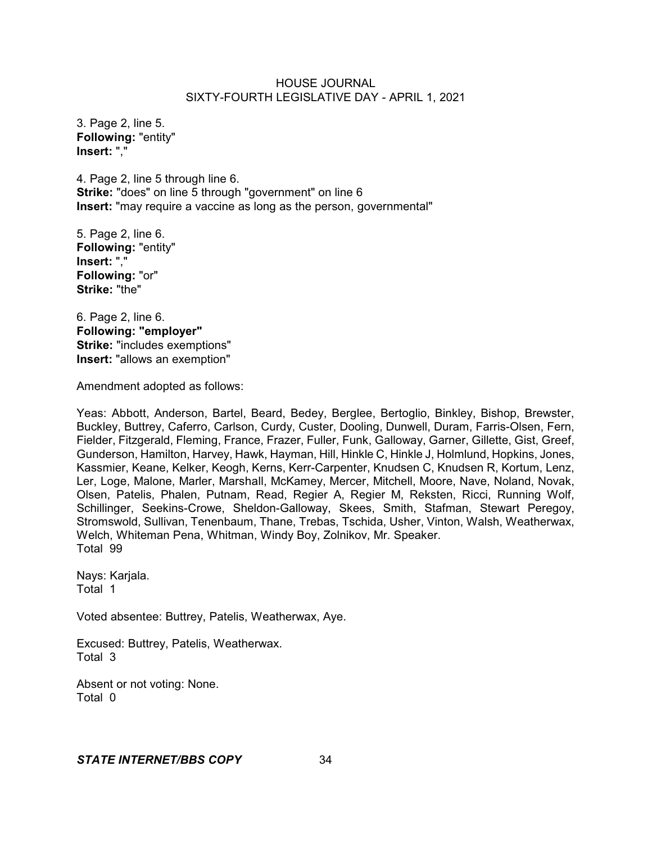3. Page 2, line 5. **Following:** "entity" **Insert:** ","

4. Page 2, line 5 through line 6. **Strike:** "does" on line 5 through "government" on line 6 **Insert:** "may require a vaccine as long as the person, governmental"

5. Page 2, line 6. **Following:** "entity" **Insert:** "," **Following:** "or" **Strike:** "the"

6. Page 2, line 6. **Following: "employer" Strike:** "includes exemptions" **Insert:** "allows an exemption"

Amendment adopted as follows:

Yeas: Abbott, Anderson, Bartel, Beard, Bedey, Berglee, Bertoglio, Binkley, Bishop, Brewster, Buckley, Buttrey, Caferro, Carlson, Curdy, Custer, Dooling, Dunwell, Duram, Farris-Olsen, Fern, Fielder, Fitzgerald, Fleming, France, Frazer, Fuller, Funk, Galloway, Garner, Gillette, Gist, Greef, Gunderson, Hamilton, Harvey, Hawk, Hayman, Hill, Hinkle C, Hinkle J, Holmlund, Hopkins, Jones, Kassmier, Keane, Kelker, Keogh, Kerns, Kerr-Carpenter, Knudsen C, Knudsen R, Kortum, Lenz, Ler, Loge, Malone, Marler, Marshall, McKamey, Mercer, Mitchell, Moore, Nave, Noland, Novak, Olsen, Patelis, Phalen, Putnam, Read, Regier A, Regier M, Reksten, Ricci, Running Wolf, Schillinger, Seekins-Crowe, Sheldon-Galloway, Skees, Smith, Stafman, Stewart Peregoy, Stromswold, Sullivan, Tenenbaum, Thane, Trebas, Tschida, Usher, Vinton, Walsh, Weatherwax, Welch, Whiteman Pena, Whitman, Windy Boy, Zolnikov, Mr. Speaker. Total 99

Nays: Karjala. Total 1

Voted absentee: Buttrey, Patelis, Weatherwax, Aye.

Excused: Buttrey, Patelis, Weatherwax. Total 3

Absent or not voting: None. Total 0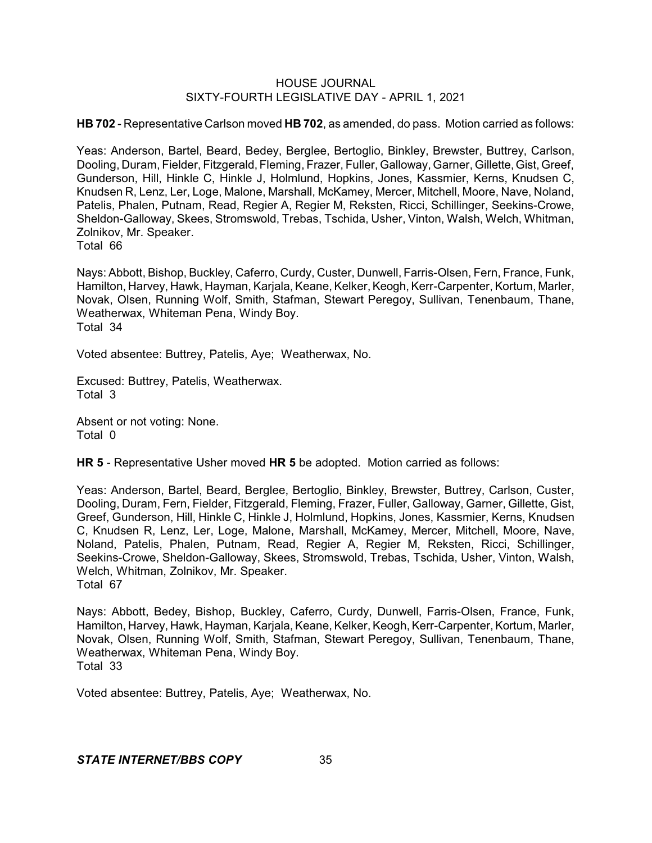**HB 702** - Representative Carlson moved **HB 702**, as amended, do pass. Motion carried as follows:

Yeas: Anderson, Bartel, Beard, Bedey, Berglee, Bertoglio, Binkley, Brewster, Buttrey, Carlson, Dooling, Duram, Fielder, Fitzgerald, Fleming, Frazer, Fuller, Galloway, Garner, Gillette,Gist, Greef, Gunderson, Hill, Hinkle C, Hinkle J, Holmlund, Hopkins, Jones, Kassmier, Kerns, Knudsen C, Knudsen R, Lenz, Ler, Loge, Malone, Marshall, McKamey, Mercer, Mitchell, Moore, Nave, Noland, Patelis, Phalen, Putnam, Read, Regier A, Regier M, Reksten, Ricci, Schillinger, Seekins-Crowe, Sheldon-Galloway, Skees, Stromswold, Trebas, Tschida, Usher, Vinton, Walsh, Welch, Whitman, Zolnikov, Mr. Speaker.

Total 66

Nays: Abbott, Bishop, Buckley, Caferro, Curdy, Custer, Dunwell, Farris-Olsen, Fern, France, Funk, Hamilton, Harvey, Hawk, Hayman, Karjala, Keane, Kelker, Keogh, Kerr-Carpenter, Kortum, Marler, Novak, Olsen, Running Wolf, Smith, Stafman, Stewart Peregoy, Sullivan, Tenenbaum, Thane, Weatherwax, Whiteman Pena, Windy Boy. Total 34

Voted absentee: Buttrey, Patelis, Aye; Weatherwax, No.

Excused: Buttrey, Patelis, Weatherwax. Total 3

Absent or not voting: None. Total 0

**HR 5** - Representative Usher moved **HR 5** be adopted. Motion carried as follows:

Yeas: Anderson, Bartel, Beard, Berglee, Bertoglio, Binkley, Brewster, Buttrey, Carlson, Custer, Dooling, Duram, Fern, Fielder, Fitzgerald, Fleming, Frazer, Fuller, Galloway, Garner, Gillette, Gist, Greef, Gunderson, Hill, Hinkle C, Hinkle J, Holmlund, Hopkins, Jones, Kassmier, Kerns, Knudsen C, Knudsen R, Lenz, Ler, Loge, Malone, Marshall, McKamey, Mercer, Mitchell, Moore, Nave, Noland, Patelis, Phalen, Putnam, Read, Regier A, Regier M, Reksten, Ricci, Schillinger, Seekins-Crowe, Sheldon-Galloway, Skees, Stromswold, Trebas, Tschida, Usher, Vinton, Walsh, Welch, Whitman, Zolnikov, Mr. Speaker. Total 67

Nays: Abbott, Bedey, Bishop, Buckley, Caferro, Curdy, Dunwell, Farris-Olsen, France, Funk, Hamilton, Harvey, Hawk, Hayman, Karjala, Keane, Kelker, Keogh, Kerr-Carpenter, Kortum, Marler, Novak, Olsen, Running Wolf, Smith, Stafman, Stewart Peregoy, Sullivan, Tenenbaum, Thane, Weatherwax, Whiteman Pena, Windy Boy. Total 33

Voted absentee: Buttrey, Patelis, Aye; Weatherwax, No.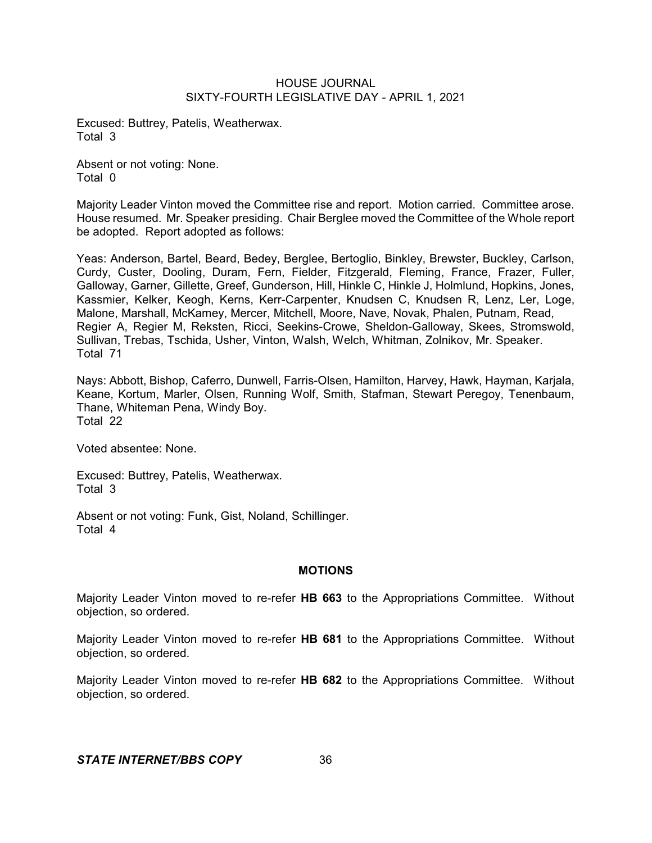Excused: Buttrey, Patelis, Weatherwax. Total 3

Absent or not voting: None. Total 0

Majority Leader Vinton moved the Committee rise and report. Motion carried. Committee arose. House resumed. Mr. Speaker presiding. Chair Berglee moved the Committee of the Whole report be adopted. Report adopted as follows:

Yeas: Anderson, Bartel, Beard, Bedey, Berglee, Bertoglio, Binkley, Brewster, Buckley, Carlson, Curdy, Custer, Dooling, Duram, Fern, Fielder, Fitzgerald, Fleming, France, Frazer, Fuller, Galloway, Garner, Gillette, Greef, Gunderson, Hill, Hinkle C, Hinkle J, Holmlund, Hopkins, Jones, Kassmier, Kelker, Keogh, Kerns, Kerr-Carpenter, Knudsen C, Knudsen R, Lenz, Ler, Loge, Malone, Marshall, McKamey, Mercer, Mitchell, Moore, Nave, Novak, Phalen, Putnam, Read, Regier A, Regier M, Reksten, Ricci, Seekins-Crowe, Sheldon-Galloway, Skees, Stromswold, Sullivan, Trebas, Tschida, Usher, Vinton, Walsh, Welch, Whitman, Zolnikov, Mr. Speaker. Total 71

Nays: Abbott, Bishop, Caferro, Dunwell, Farris-Olsen, Hamilton, Harvey, Hawk, Hayman, Karjala, Keane, Kortum, Marler, Olsen, Running Wolf, Smith, Stafman, Stewart Peregoy, Tenenbaum, Thane, Whiteman Pena, Windy Boy. Total 22

Voted absentee: None.

Excused: Buttrey, Patelis, Weatherwax. Total 3

Absent or not voting: Funk, Gist, Noland, Schillinger. Total 4

#### **MOTIONS**

Majority Leader Vinton moved to re-refer **HB 663** to the Appropriations Committee. Without objection, so ordered.

Majority Leader Vinton moved to re-refer **HB 681** to the Appropriations Committee. Without objection, so ordered.

Majority Leader Vinton moved to re-refer **HB 682** to the Appropriations Committee. Without objection, so ordered.